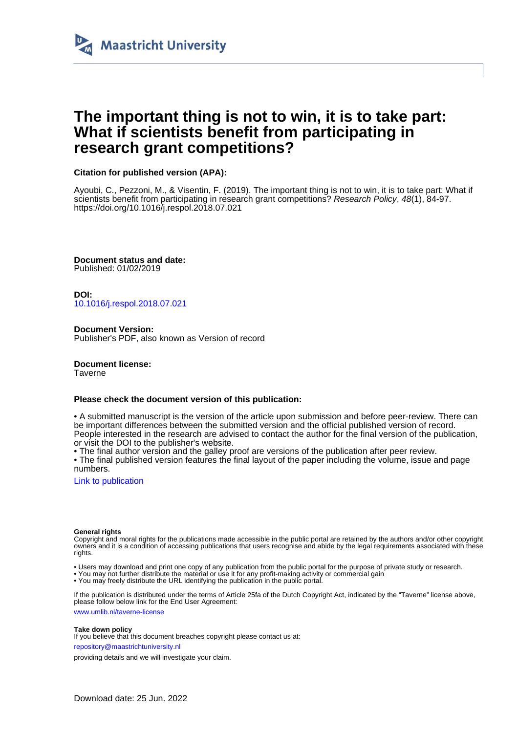

# **The important thing is not to win, it is to take part: What if scientists benefit from participating in research grant competitions?**

# **Citation for published version (APA):**

Ayoubi, C., Pezzoni, M., & Visentin, F. (2019). The important thing is not to win, it is to take part: What if scientists benefit from participating in research grant competitions? Research Policy, 48(1), 84-97. <https://doi.org/10.1016/j.respol.2018.07.021>

**Document status and date:** Published: 01/02/2019

**DOI:** [10.1016/j.respol.2018.07.021](https://doi.org/10.1016/j.respol.2018.07.021)

**Document Version:** Publisher's PDF, also known as Version of record

**Document license:** Taverne

# **Please check the document version of this publication:**

• A submitted manuscript is the version of the article upon submission and before peer-review. There can be important differences between the submitted version and the official published version of record. People interested in the research are advised to contact the author for the final version of the publication, or visit the DOI to the publisher's website.

• The final author version and the galley proof are versions of the publication after peer review.

• The final published version features the final layout of the paper including the volume, issue and page numbers.

[Link to publication](https://cris.maastrichtuniversity.nl/en/publications/e364d7ab-28fa-48af-bc1f-f58b91df9b71)

## **General rights**

Copyright and moral rights for the publications made accessible in the public portal are retained by the authors and/or other copyright owners and it is a condition of accessing publications that users recognise and abide by the legal requirements associated with these rights.

• Users may download and print one copy of any publication from the public portal for the purpose of private study or research.

• You may not further distribute the material or use it for any profit-making activity or commercial gain

• You may freely distribute the URL identifying the publication in the public portal.

If the publication is distributed under the terms of Article 25fa of the Dutch Copyright Act, indicated by the "Taverne" license above, please follow below link for the End User Agreement:

www.umlib.nl/taverne-license

## **Take down policy**

If you believe that this document breaches copyright please contact us at:

repository@maastrichtuniversity.nl

providing details and we will investigate your claim.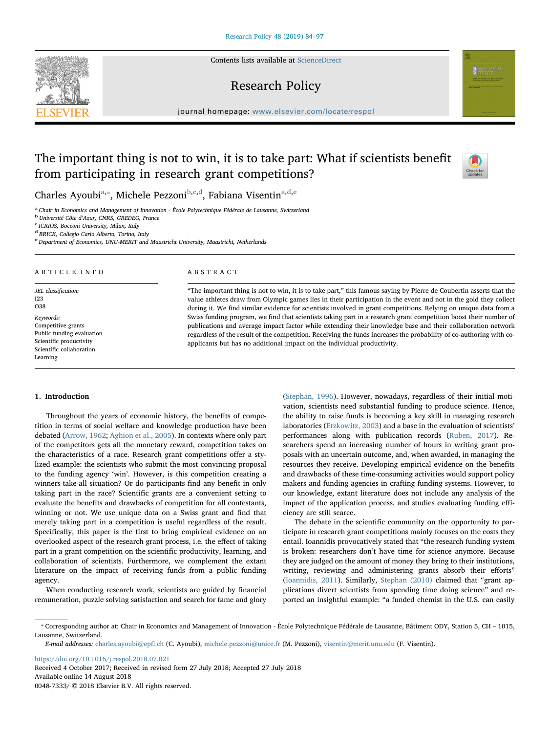Contents lists available at [ScienceDirect](http://www.sciencedirect.com/science/journal/00487333)

# Research Policy

journal homepage: [www.elsevier.com/locate/respol](https://www.elsevier.com/locate/respol)

# The important thing is not to win, it is to take part: What if scientists benefit from participating in research grant competitions?

Ch[a](#page-1-0)rles Ayoubi<sup>a,\*</sup>, Michele Pezzoni<sup>[b,](#page-1-2)[c,](#page-1-3)[d](#page-1-4)</sup>, Fabiana Visentin<sup>[a,](#page-1-0)d,[e](#page-1-5)</sup>

<span id="page-1-0"></span><sup>a</sup> Chair in Economics and Management of Innovation - École Polytechnique Fédérale de Lausanne, Switzerland

<span id="page-1-2"></span><sup>b</sup> Université Côte d'Azur, CNRS, GREDEG, France

<span id="page-1-3"></span>ICRIOS, Bocconi University, Milan, Italy

<span id="page-1-4"></span><sup>d</sup> BRICK, Collegio Carlo Alberto, Torino, Italy

<span id="page-1-5"></span> $e$  Department of Economics, UNU-MERIT and Maastricht University, Maastricht, Netherlands

### ARTICLE INFO

JEL classification: I23 O38 Keywords: Competitive grants Public funding evaluation Scientific productivity

Scientific collaboration

Learning

## ABSTRACT

"The important thing is not to win, it is to take part," this famous saying by Pierre de Coubertin asserts that the value athletes draw from Olympic games lies in their participation in the event and not in the gold they collect during it. We find similar evidence for scientists involved in grant competitions. Relying on unique data from a Swiss funding program, we find that scientists taking part in a research grant competition boost their number of publications and average impact factor while extending their knowledge base and their collaboration network regardless of the result of the competition. Receiving the funds increases the probability of co-authoring with coapplicants but has no additional impact on the individual productivity.

#### 1. Introduction

Throughout the years of economic history, the benefits of competition in terms of social welfare and knowledge production have been debated ([Arrow, 1962;](#page-13-0) [Aghion et al., 2005\)](#page-13-1). In contexts where only part of the competitors gets all the monetary reward, competition takes on the characteristics of a race. Research grant competitions offer a stylized example: the scientists who submit the most convincing proposal to the funding agency 'win'. However, is this competition creating a winners-take-all situation? Or do participants find any benefit in only taking part in the race? Scientific grants are a convenient setting to evaluate the benefits and drawbacks of competition for all contestants, winning or not. We use unique data on a Swiss grant and find that merely taking part in a competition is useful regardless of the result. Specifically, this paper is the first to bring empirical evidence on an overlooked aspect of the research grant process, i.e. the effect of taking part in a grant competition on the scientific productivity, learning, and collaboration of scientists. Furthermore, we complement the extant literature on the impact of receiving funds from a public funding agency.

When conducting research work, scientists are guided by financial remuneration, puzzle solving satisfaction and search for fame and glory

([Stephan, 1996](#page-14-0)). However, nowadays, regardless of their initial motivation, scientists need substantial funding to produce science. Hence, the ability to raise funds is becoming a key skill in managing research laboratories ([Etzkowitz, 2003](#page-14-1)) and a base in the evaluation of scientists' performances along with publication records ([Ruben, 2017](#page-14-2)). Researchers spend an increasing number of hours in writing grant proposals with an uncertain outcome, and, when awarded, in managing the resources they receive. Developing empirical evidence on the benefits and drawbacks of these time-consuming activities would support policy makers and funding agencies in crafting funding systems. However, to our knowledge, extant literature does not include any analysis of the impact of the application process, and studies evaluating funding efficiency are still scarce.

The debate in the scientific community on the opportunity to participate in research grant competitions mainly focuses on the costs they entail. Ioannidis provocatively stated that "the research funding system is broken: researchers don't have time for science anymore. Because they are judged on the amount of money they bring to their institutions, writing, reviewing and administering grants absorb their efforts" ([Ioannidis, 2011\)](#page-14-3). Similarly, [Stephan \(2010\)](#page-14-4) claimed that "grant applications divert scientists from spending time doing science" and reported an insightful example: "a funded chemist in the U.S. can easily

<https://doi.org/10.1016/j.respol.2018.07.021> Received 4 October 2017; Received in revised form 27 July 2018; Accepted 27 July 2018 Available online 14 August 2018 0048-7333/ © 2018 Elsevier B.V. All rights reserved.





RESEARCH

<span id="page-1-1"></span><sup>⁎</sup> Corresponding author at: Chair in Economics and Management of Innovation - École Polytechnique Fédérale de Lausanne, Bâtiment ODY, Station 5, CH – 1015, Lausanne, Switzerland.

E-mail addresses: [charles.ayoubi@ep](mailto:charles.ayoubi@epfl.ch)fl.ch (C. Ayoubi), [michele.pezzoni@unice.fr](mailto:michele.pezzoni@unice.fr) (M. Pezzoni), [visentin@merit.unu.edu](mailto:visentin@merit.unu.edu) (F. Visentin).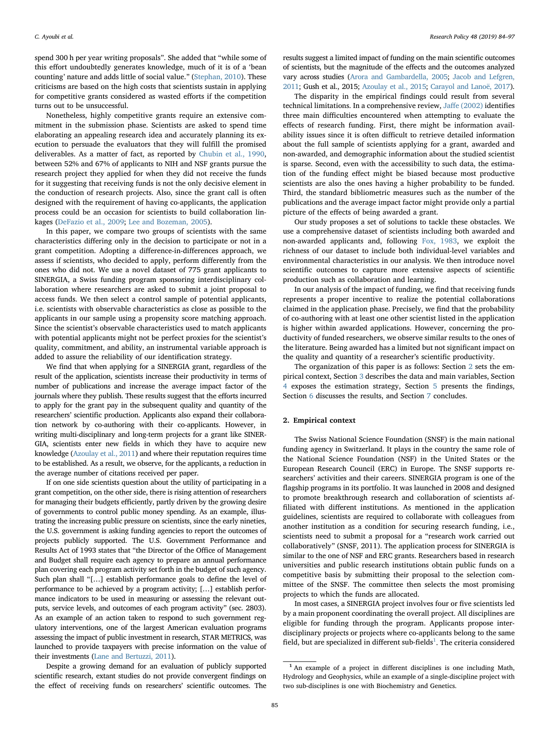spend 300 h per year writing proposals". She added that "while some of this effort undoubtedly generates knowledge, much of it is of a 'bean counting' nature and adds little of social value." [\(Stephan, 2010](#page-14-4)). These criticisms are based on the high costs that scientists sustain in applying for competitive grants considered as wasted efforts if the competition turns out to be unsuccessful.

Nonetheless, highly competitive grants require an extensive commitment in the submission phase. Scientists are asked to spend time elaborating an appealing research idea and accurately planning its execution to persuade the evaluators that they will fulfill the promised deliverables. As a matter of fact, as reported by [Chubin et al., 1990](#page-14-5), between 52% and 67% of applicants to NIH and NSF grants pursue the research project they applied for when they did not receive the funds for it suggesting that receiving funds is not the only decisive element in the conduction of research projects. Also, since the grant call is often designed with the requirement of having co-applicants, the application process could be an occasion for scientists to build collaboration linkages ([DeFazio et al., 2009;](#page-14-6) [Lee and Bozeman, 2005\)](#page-14-7).

In this paper, we compare two groups of scientists with the same characteristics differing only in the decision to participate or not in a grant competition. Adopting a difference-in-differences approach, we assess if scientists, who decided to apply, perform differently from the ones who did not. We use a novel dataset of 775 grant applicants to SINERGIA, a Swiss funding program sponsoring interdisciplinary collaboration where researchers are asked to submit a joint proposal to access funds. We then select a control sample of potential applicants, i.e. scientists with observable characteristics as close as possible to the applicants in our sample using a propensity score matching approach. Since the scientist's observable characteristics used to match applicants with potential applicants might not be perfect proxies for the scientist's quality, commitment, and ability, an instrumental variable approach is added to assure the reliability of our identification strategy.

We find that when applying for a SINERGIA grant, regardless of the result of the application, scientists increase their productivity in terms of number of publications and increase the average impact factor of the journals where they publish. These results suggest that the efforts incurred to apply for the grant pay in the subsequent quality and quantity of the researchers' scientific production. Applicants also expand their collaboration network by co-authoring with their co-applicants. However, in writing multi-disciplinary and long-term projects for a grant like SINER-GIA, scientists enter new fields in which they have to acquire new knowledge [\(Azoulay et al., 2011\)](#page-13-2) and where their reputation requires time to be established. As a result, we observe, for the applicants, a reduction in the average number of citations received per paper.

If on one side scientists question about the utility of participating in a grant competition, on the other side, there is rising attention of researchers for managing their budgets efficiently, partly driven by the growing desire of governments to control public money spending. As an example, illustrating the increasing public pressure on scientists, since the early nineties, the U.S. government is asking funding agencies to report the outcomes of projects publicly supported. The U.S. Government Performance and Results Act of 1993 states that "the Director of the Office of Management and Budget shall require each agency to prepare an annual performance plan covering each program activity set forth in the budget of such agency. Such plan shall "[…] establish performance goals to define the level of performance to be achieved by a program activity; […] establish performance indicators to be used in measuring or assessing the relevant outputs, service levels, and outcomes of each program activity" (sec. 2803). As an example of an action taken to respond to such government regulatory interventions, one of the largest American evaluation programs assessing the impact of public investment in research, STAR METRICS, was launched to provide taxpayers with precise information on the value of their investments [\(Lane and Bertuzzi, 2011\)](#page-14-8).

Despite a growing demand for an evaluation of publicly supported scientific research, extant studies do not provide convergent findings on the effect of receiving funds on researchers' scientific outcomes. The

results suggest a limited impact of funding on the main scientific outcomes of scientists, but the magnitude of the effects and the outcomes analyzed vary across studies [\(Arora and Gambardella, 2005;](#page-13-3) [Jacob and Lefgren,](#page-14-9) [2011;](#page-14-9) Gush et al., 2015; [Azoulay et al., 2015;](#page-13-4) [Carayol and Lanoë, 2017\)](#page-14-10).

The disparity in the empirical findings could result from several technical limitations. In a comprehensive review, Jaff[e \(2002\)](#page-14-11) identifies three main difficulties encountered when attempting to evaluate the effects of research funding. First, there might be information availability issues since it is often difficult to retrieve detailed information about the full sample of scientists applying for a grant, awarded and non-awarded, and demographic information about the studied scientist is sparse. Second, even with the accessibility to such data, the estimation of the funding effect might be biased because most productive scientists are also the ones having a higher probability to be funded. Third, the standard bibliometric measures such as the number of the publications and the average impact factor might provide only a partial picture of the effects of being awarded a grant.

Our study proposes a set of solutions to tackle these obstacles. We use a comprehensive dataset of scientists including both awarded and non-awarded applicants and, following [Fox, 1983](#page-14-12), we exploit the richness of our dataset to include both individual-level variables and environmental characteristics in our analysis. We then introduce novel scientific outcomes to capture more extensive aspects of scientific production such as collaboration and learning.

In our analysis of the impact of funding, we find that receiving funds represents a proper incentive to realize the potential collaborations claimed in the application phase. Precisely, we find that the probability of co-authoring with at least one other scientist listed in the application is higher within awarded applications. However, concerning the productivity of funded researchers, we observe similar results to the ones of the literature. Being awarded has a limited but not significant impact on the quality and quantity of a researcher's scientific productivity.

The organization of this paper is as follows: Section [2](#page-2-0) sets the empirical context, Section [3](#page-3-0) describes the data and main variables, Section [4](#page-5-0) exposes the estimation strategy, Section [5](#page-7-0) presents the findings, Section [6](#page-8-0) discusses the results, and Section [7](#page-10-0) concludes.

#### <span id="page-2-0"></span>2. Empirical context

The Swiss National Science Foundation (SNSF) is the main national funding agency in Switzerland. It plays in the country the same role of the National Science Foundation (NSF) in the United States or the European Research Council (ERC) in Europe. The SNSF supports researchers' activities and their careers. SINERGIA program is one of the flagship programs in its portfolio. It was launched in 2008 and designed to promote breakthrough research and collaboration of scientists affiliated with different institutions. As mentioned in the application guidelines, scientists are required to collaborate with colleagues from another institution as a condition for securing research funding, i.e., scientists need to submit a proposal for a "research work carried out collaboratively" (SNSF, 2011). The application process for SINERGIA is similar to the one of NSF and ERC grants. Researchers based in research universities and public research institutions obtain public funds on a competitive basis by submitting their proposal to the selection committee of the SNSF. The committee then selects the most promising projects to which the funds are allocated.

In most cases, a SINERGIA project involves four or five scientists led by a main proponent coordinating the overall project. All disciplines are eligible for funding through the program. Applicants propose interdisciplinary projects or projects where co-applicants belong to the same field, but are specialized in different sub-fields<sup>[1](#page-2-1)</sup>. The criteria considered

<span id="page-2-1"></span><sup>&</sup>lt;sup>1</sup> An example of a project in different disciplines is one including Math, Hydrology and Geophysics, while an example of a single-discipline project with two sub-disciplines is one with Biochemistry and Genetics.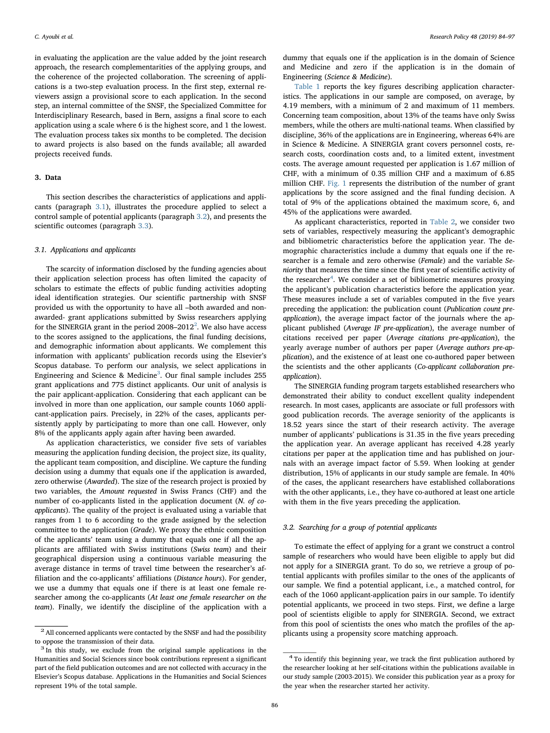in evaluating the application are the value added by the joint research approach, the research complementarities of the applying groups, and the coherence of the projected collaboration. The screening of applications is a two-step evaluation process. In the first step, external reviewers assign a provisional score to each application. In the second step, an internal committee of the SNSF, the Specialized Committee for Interdisciplinary Research, based in Bern, assigns a final score to each application using a scale where 6 is the highest score, and 1 the lowest. The evaluation process takes six months to be completed. The decision to award projects is also based on the funds available; all awarded projects received funds.

#### <span id="page-3-0"></span>3. Data

This section describes the characteristics of applications and applicants (paragraph [3.1\)](#page-3-1), illustrates the procedure applied to select a control sample of potential applicants (paragraph [3.2](#page-3-2)), and presents the scientific outcomes (paragraph [3.3\)](#page-5-1).

#### <span id="page-3-1"></span>3.1. Applications and applicants

The scarcity of information disclosed by the funding agencies about their application selection process has often limited the capacity of scholars to estimate the effects of public funding activities adopting ideal identification strategies. Our scientific partnership with SNSF provided us with the opportunity to have all –both awarded and nonawarded- grant applications submitted by Swiss researchers applying for the SINERGIA grant in the period [2](#page-3-3)008–2012 $^2$ . We also have access to the scores assigned to the applications, the final funding decisions, and demographic information about applicants. We complement this information with applicants' publication records using the Elsevier's Scopus database. To perform our analysis, we select applications in Engineering and Science & Medicine<sup>[3](#page-3-4)</sup>. Our final sample includes 255 grant applications and 775 distinct applicants. Our unit of analysis is the pair applicant-application. Considering that each applicant can be involved in more than one application, our sample counts 1060 applicant-application pairs. Precisely, in 22% of the cases, applicants persistently apply by participating to more than one call. However, only 8% of the applicants apply again after having been awarded.

As application characteristics, we consider five sets of variables measuring the application funding decision, the project size, its quality, the applicant team composition, and discipline. We capture the funding decision using a dummy that equals one if the application is awarded, zero otherwise (Awarded). The size of the research project is proxied by two variables, the Amount requested in Swiss Francs (CHF) and the number of co-applicants listed in the application document (N. of coapplicants). The quality of the project is evaluated using a variable that ranges from 1 to 6 according to the grade assigned by the selection committee to the application (Grade). We proxy the ethnic composition of the applicants' team using a dummy that equals one if all the applicants are affiliated with Swiss institutions (Swiss team) and their geographical dispersion using a continuous variable measuring the average distance in terms of travel time between the researcher's affiliation and the co-applicants' affiliations (Distance hours). For gender, we use a dummy that equals one if there is at least one female researcher among the co-applicants (At least one female researcher on the team). Finally, we identify the discipline of the application with a

dummy that equals one if the application is in the domain of Science and Medicine and zero if the application is in the domain of Engineering (Science & Medicine).

[Table 1](#page-4-0) reports the key figures describing application characteristics. The applications in our sample are composed, on average, by 4.19 members, with a minimum of 2 and maximum of 11 members. Concerning team composition, about 13% of the teams have only Swiss members, while the others are multi-national teams. When classified by discipline, 36% of the applications are in Engineering, whereas 64% are in Science & Medicine. A SINERGIA grant covers personnel costs, research costs, coordination costs and, to a limited extent, investment costs. The average amount requested per application is 1.67 million of CHF, with a minimum of 0.35 million CHF and a maximum of 6.85 million CHF. [Fig. 1](#page-4-1) represents the distribution of the number of grant applications by the score assigned and the final funding decision. A total of 9% of the applications obtained the maximum score, 6, and 45% of the applications were awarded.

As applicant characteristics, reported in [Table 2,](#page-4-2) we consider two sets of variables, respectively measuring the applicant's demographic and bibliometric characteristics before the application year. The demographic characteristics include a dummy that equals one if the researcher is a female and zero otherwise (Female) and the variable Seniority that measures the time since the first year of scientific activity of the researcher<sup>[4](#page-3-5)</sup>. We consider a set of bibliometric measures proxying the applicant's publication characteristics before the application year. These measures include a set of variables computed in the five years preceding the application: the publication count (Publication count preapplication), the average impact factor of the journals where the applicant published (Average IF pre-application), the average number of citations received per paper (Average citations pre-application), the yearly average number of authors per paper (Average authors pre-application), and the existence of at least one co-authored paper between the scientists and the other applicants (Co-applicant collaboration preapplication).

The SINERGIA funding program targets established researchers who demonstrated their ability to conduct excellent quality independent research. In most cases, applicants are associate or full professors with good publication records. The average seniority of the applicants is 18.52 years since the start of their research activity. The average number of applicants' publications is 31.35 in the five years preceding the application year. An average applicant has received 4.28 yearly citations per paper at the application time and has published on journals with an average impact factor of 5.59. When looking at gender distribution, 15% of applicants in our study sample are female. In 40% of the cases, the applicant researchers have established collaborations with the other applicants, i.e., they have co-authored at least one article with them in the five years preceding the application.

#### <span id="page-3-2"></span>3.2. Searching for a group of potential applicants

To estimate the effect of applying for a grant we construct a control sample of researchers who would have been eligible to apply but did not apply for a SINERGIA grant. To do so, we retrieve a group of potential applicants with profiles similar to the ones of the applicants of our sample. We find a potential applicant, i.e., a matched control, for each of the 1060 applicant-application pairs in our sample. To identify potential applicants, we proceed in two steps. First, we define a large pool of scientists eligible to apply for SINERGIA. Second, we extract from this pool of scientists the ones who match the profiles of the ap-

<span id="page-3-3"></span> $P$  all concerned applicants were contacted by the SNSF and had the possibility plicants using a propensity score matching approach.<br>to oppose the transmission of their data.

<span id="page-3-4"></span><sup>&</sup>lt;sup>3</sup> In this study, we exclude from the original sample applications in the Humanities and Social Sciences since book contributions represent a significant part of the field publication outcomes and are not collected with accuracy in the Elsevier's Scopus database. Applications in the Humanities and Social Sciences represent 19% of the total sample.

<span id="page-3-5"></span><sup>&</sup>lt;sup>4</sup> To identify this beginning year, we track the first publication authored by the researcher looking at her self-citations within the publications available in our study sample (2003-2015). We consider this publication year as a proxy for the year when the researcher started her activity.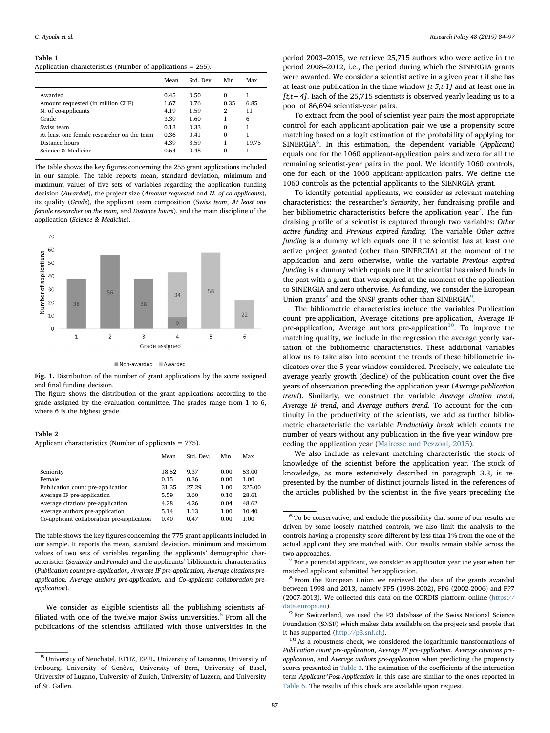<span id="page-4-0"></span>Application characteristics (Number of applications = 255).

|                                            | Mean | Std. Dev. | Min      | Max   |
|--------------------------------------------|------|-----------|----------|-------|
| Awarded                                    | 0.45 | 0.50      | $\Omega$ |       |
| Amount requested (in million CHF)          | 1.67 | 0.76      | 0.35     | 6.85  |
| N. of co-applicants                        | 4.19 | 1.59      | 2        | 11    |
| Grade                                      | 3.39 | 1.60      | 1        | 6     |
| Swiss team                                 | 0.13 | 0.33      | $\Omega$ | 1     |
| At least one female researcher on the team | 0.36 | 0.41      | $\Omega$ | 1     |
| Distance hours                             | 4.39 | 3.59      | 1        | 19.75 |
| Science & Medicine                         | 0.64 | 0.48      | $\Omega$ |       |
|                                            |      |           |          |       |

The table shows the key figures concerning the 255 grant applications included in our sample. The table reports mean, standard deviation, minimum and maximum values of five sets of variables regarding the application funding decision (Awarded), the project size (Amount requested and N. of co-applicants), its quality (Grade), the applicant team composition (Swiss team, At least one female researcher on the team, and Distance hours), and the main discipline of the application (Science & Medicine).

<span id="page-4-1"></span>

Non-awarded Awarded

Fig. 1. Distribution of the number of grant applications by the score assigned and final funding decision.

The figure shows the distribution of the grant applications according to the grade assigned by the evaluation committee. The grades range from 1 to 6, where 6 is the highest grade.

#### <span id="page-4-2"></span>Table 2

|  | Applicant characteristics (Number of applicants = 775). |  |  |  |  |  |
|--|---------------------------------------------------------|--|--|--|--|--|
|--|---------------------------------------------------------|--|--|--|--|--|

|                                            | Mean  | Std. Dev. | Min  | Max    |
|--------------------------------------------|-------|-----------|------|--------|
| Seniority                                  | 18.52 | 9.37      | 0.00 | 53.00  |
| Female                                     | 0.15  | 0.36      | 0.00 | 1.00   |
| Publication count pre-application          | 31.35 | 27.29     | 1.00 | 225.00 |
| Average IF pre-application                 | 5.59  | 3.60      | 0.10 | 28.61  |
| Average citations pre-application          | 4.28  | 4.26      | 0.04 | 48.62  |
| Average authors pre-application            | 5.14  | 1.13      | 1.00 | 10.40  |
| Co-applicant collaboration pre-application | 0.40  | 0.47      | 0.00 | 1.00   |

The table shows the key figures concerning the 775 grant applicants included in our sample. It reports the mean, standard deviation, minimum and maximum values of two sets of variables regarding the applicants' demographic characteristics (Seniority and Female) and the applicants' bibliometric characteristics (Publication count pre-application, Average IF pre-application, Average citations preapplication, Average authors pre-application, and Co-applicant collaboration preapplication).

We consider as eligible scientists all the publishing scientists af-filiated with one of the twelve major Swiss universities.<sup>[5](#page-4-3)</sup> From all the publications of the scientists affiliated with those universities in the

period 2003–2015, we retrieve 25,715 authors who were active in the period 2008–2012, i.e., the period during which the SINERGIA grants were awarded. We consider a scientist active in a given year t if she has at least one publication in the time window [t-5,t-1] and at least one in [ $t$ ,t+4]. Each of the 25,715 scientists is observed yearly leading us to a pool of 86,694 scientist-year pairs.

To extract from the pool of scientist-year pairs the most appropriate control for each applicant-application pair we use a propensity score matching based on a logit estimation of the probability of applying for  $SINERGIA<sup>6</sup>$  $SINERGIA<sup>6</sup>$  $SINERGIA<sup>6</sup>$ . In this estimation, the dependent variable (Applicant) equals one for the 1060 applicant-application pairs and zero for all the remaining scientist-year pairs in the pool. We identify 1060 controls, one for each of the 1060 applicant-application pairs. We define the 1060 controls as the potential applicants to the SIENRGIA grant.

To identify potential applicants, we consider as relevant matching characteristics: the researcher's Seniority, her fundraising profile and her bibliometric characteristics before the application year<sup>[7](#page-4-5)</sup>. The fundraising profile of a scientist is captured through two variables: Other active funding and Previous expired funding. The variable Other active funding is a dummy which equals one if the scientist has at least one active project granted (other than SINERGIA) at the moment of the application and zero otherwise, while the variable Previous expired funding is a dummy which equals one if the scientist has raised funds in the past with a grant that was expired at the moment of the application to SINERGIA and zero otherwise. As funding, we consider the European Union grants $8$  and the SNSF grants other than SINERGIA $9$ .

The bibliometric characteristics include the variables Publication count pre-application, Average citations pre-application, Average IF pre-application, Average authors pre-application<sup>10</sup>. To improve the matching quality, we include in the regression the average yearly variation of the bibliometric characteristics. These additional variables allow us to take also into account the trends of these bibliometric indicators over the 5-year window considered. Precisely, we calculate the average yearly growth (decline) of the publication count over the five years of observation preceding the application year (Average publication trend). Similarly, we construct the variable Average citation trend, Average IF trend, and Average authors trend. To account for the continuity in the productivity of the scientists, we add as further bibliometric characteristic the variable Productivity break which counts the number of years without any publication in the five-year window preceding the application year [\(Mairesse and Pezzoni, 2015\)](#page-14-13).

We also include as relevant matching characteristic the stock of knowledge of the scientist before the application year. The stock of knowledge, as more extensively described in paragraph 3.3, is represented by the number of distinct journals listed in the references of the articles published by the scientist in the five years preceding the

<span id="page-4-3"></span><sup>5</sup> University of Neuchatel, ETHZ, EPFL, University of Lausanne, University of Fribourg, University of Genève, University of Bern, University of Basel, University of Lugano, University of Zurich, University of Luzern, and University of St. Gallen.

<span id="page-4-4"></span> $^6$  To be conservative, and exclude the possibility that some of our results are driven by some loosely matched controls, we also limit the analysis to the controls having a propensity score different by less than 1% from the one of the actual applicant they are matched with. Our results remain stable across the

<span id="page-4-5"></span>two approaches.<br><sup>7</sup> For a potential applicant, we consider as application year the year when her matched applicant submitted her application. <sup>8</sup> From the European Union we retrieved the data of the grants awarded

<span id="page-4-6"></span>between 1998 and 2013, namely FP5 (1998-2002), FP6 (2002-2006) and FP7 (2007-2013). We collected this data on the CORDIS platform online ([https://](https://data.europa.eu)

<span id="page-4-7"></span>[data.europa.eu\)](https://data.europa.eu). 9 For Switzerland, we used the P3 database of the Swiss National Science Foundation (SNSF) which makes data available on the projects and people that it has supported [\(http://p3.snf.ch](http://p3.snf.ch)).  $10$ As a robustness check, we considered the logarithmic transformations of

<span id="page-4-8"></span>Publication count pre-application, Average IF pre-application, Average citations preapplication, and Average authors pre-application when predicting the propensity scores presented in [Table 3](#page-5-2). The estimation of the coefficients of the interaction term Applicant\*Post-Application in this case are similar to the ones reported in [Table 6.](#page-8-1) The results of this check are available upon request.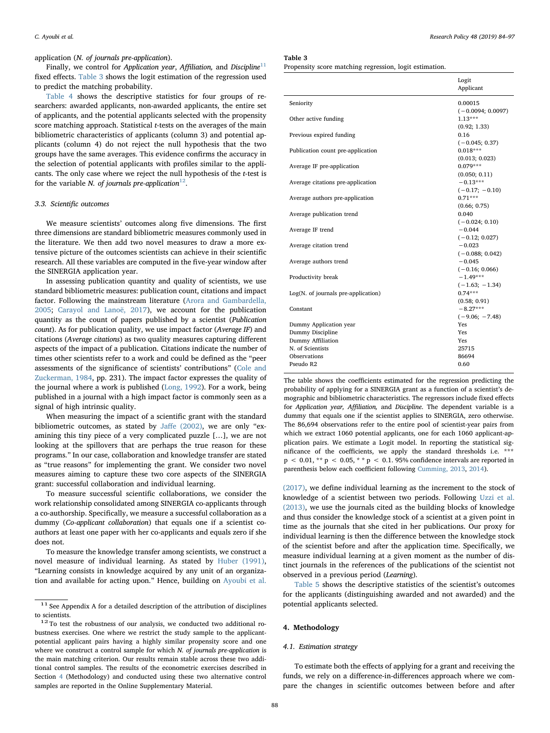#### application (N. of journals pre-application).

Finally, we control for Application year, Affiliation, and Discipline $11$ fixed effects. [Table 3](#page-5-2) shows the logit estimation of the regression used to predict the matching probability.

[Table 4](#page-6-0) shows the descriptive statistics for four groups of researchers: awarded applicants, non-awarded applicants, the entire set of applicants, and the potential applicants selected with the propensity score matching approach. Statistical *t*-tests on the averages of the main bibliometric characteristics of applicants (column 3) and potential applicants (column 4) do not reject the null hypothesis that the two groups have the same averages. This evidence confirms the accuracy in the selection of potential applicants with profiles similar to the applicants. The only case where we reject the null hypothesis of the t-test is for the variable N. of journals pre-application<sup>12</sup>.

#### <span id="page-5-1"></span>3.3. Scientific outcomes

We measure scientists' outcomes along five dimensions. The first three dimensions are standard bibliometric measures commonly used in the literature. We then add two novel measures to draw a more extensive picture of the outcomes scientists can achieve in their scientific research. All these variables are computed in the five-year window after the SINERGIA application year.

In assessing publication quantity and quality of scientists, we use standard bibliometric measures: publication count, citations and impact factor. Following the mainstream literature [\(Arora and Gambardella,](#page-13-3) [2005;](#page-13-3) [Carayol and Lanoë, 2017](#page-14-10)), we account for the publication quantity as the count of papers published by a scientist (Publication count). As for publication quality, we use impact factor (Average IF) and citations (Average citations) as two quality measures capturing different aspects of the impact of a publication. Citations indicate the number of times other scientists refer to a work and could be defined as the "peer assessments of the significance of scientists' contributions" ([Cole and](#page-14-14) [Zuckerman, 1984,](#page-14-14) pp. 231). The impact factor expresses the quality of the journal where a work is published [\(Long, 1992](#page-14-15)). For a work, being published in a journal with a high impact factor is commonly seen as a signal of high intrinsic quality.

When measuring the impact of a scientific grant with the standard bibliometric outcomes, as stated by Jaff[e \(2002\)](#page-14-11), we are only "examining this tiny piece of a very complicated puzzle […], we are not looking at the spillovers that are perhaps the true reason for these programs." In our case, collaboration and knowledge transfer are stated as "true reasons" for implementing the grant. We consider two novel measures aiming to capture these two core aspects of the SINERGIA grant: successful collaboration and individual learning.

To measure successful scientific collaborations, we consider the work relationship consolidated among SINERGIA co-applicants through a co-authorship. Specifically, we measure a successful collaboration as a dummy (Co-applicant collaboration) that equals one if a scientist coauthors at least one paper with her co-applicants and equals zero if she does not.

To measure the knowledge transfer among scientists, we construct a novel measure of individual learning. As stated by [Huber \(1991\)](#page-14-16), "Learning consists in knowledge acquired by any unit of an organization and available for acting upon." Hence, building on [Ayoubi et al.](#page-13-5)

#### <span id="page-5-2"></span>Table 3

Propensity score matching regression, logit estimation.

|                                     | Logit               |
|-------------------------------------|---------------------|
|                                     | Applicant           |
| Seniority                           | 0.00015             |
|                                     | $(-0.0094; 0.0097)$ |
| Other active funding                | $1.13***$           |
|                                     | (0.92; 1.33)        |
| Previous expired funding            | 0.16                |
|                                     | $(-0.045; 0.37)$    |
| Publication count pre-application   | $0.018***$          |
|                                     | (0.013; 0.023)      |
| Average IF pre-application          | $0.079***$          |
|                                     | (0.050; 0.11)       |
| Average citations pre-application   | $-0.13***$          |
|                                     | $(-0.17; -0.10)$    |
| Average authors pre-application     | $0.71***$           |
|                                     | (0.66; 0.75)        |
| Average publication trend           | 0.040               |
|                                     | $(-0.024; 0.10)$    |
| Average IF trend                    | $-0.044$            |
|                                     | $(-0.12; 0.027)$    |
| Average citation trend              | $-0.023$            |
|                                     | $(-0.088; 0.042)$   |
| Average authors trend               | $-0.045$            |
|                                     | $(-0.16; 0.066)$    |
| Productivity break                  | $-1.49***$          |
|                                     | $(-1.63; -1.34)$    |
| Log(N. of journals pre-application) | $0.74***$           |
|                                     | (0.58; 0.91)        |
| Constant                            | $-8.27***$          |
|                                     | $(-9.06; -7.48)$    |
| Dummy Application year              | Yes                 |
| Dummy Discipline                    | Yes                 |
| Dummy Affiliation                   | Yes                 |
| N. of Scientists                    | 25715               |
| Observations                        | 86694               |
| Pseudo R2                           | 0.60                |

The table shows the coefficients estimated for the regression predicting the probability of applying for a SINERGIA grant as a function of a scientist's demographic and bibliometric characteristics. The regressors include fixed effects for Application year, Affiliation, and Discipline. The dependent variable is a dummy that equals one if the scientist applies to SINERGIA, zero otherwise. The 86,694 observations refer to the entire pool of scientist-year pairs from which we extract 1060 potential applicants, one for each 1060 applicant-application pairs. We estimate a Logit model. In reporting the statistical significance of the coefficients, we apply the standard thresholds i.e. \*\*\*  $\rm p \, < \, 0.01,\, ^{\ast \ast} \, p \, < \, 0.05,\, ^{\ast \, \ast} \, p \, < \, 0.1.\,$  95% confidence intervals are reported in parenthesis below each coefficient following [Cumming, 2013,](#page-14-18) [2014](#page-14-19)).

[\(2017\),](#page-13-5) we define individual learning as the increment to the stock of knowledge of a scientist between two periods. Following [Uzzi et al.](#page-14-17) [\(2013\),](#page-14-17) we use the journals cited as the building blocks of knowledge and thus consider the knowledge stock of a scientist at a given point in time as the journals that she cited in her publications. Our proxy for individual learning is then the difference between the knowledge stock of the scientist before and after the application time. Specifically, we measure individual learning at a given moment as the number of distinct journals in the references of the publications of the scientist not observed in a previous period (Learning).

[Table 5](#page-6-1) shows the descriptive statistics of the scientist's outcomes for the applicants (distinguishing awarded and not awarded) and the potential applicants selected.

#### <span id="page-5-0"></span>4. Methodology

#### 4.1. Estimation strategy

To estimate both the effects of applying for a grant and receiving the funds, we rely on a difference-in-differences approach where we compare the changes in scientific outcomes between before and after

<span id="page-5-3"></span> $^{\rm 11}$  See Appendix A for a detailed description of the attribution of disciplines to scientists.<br> $12$  To test the robustness of our analysis, we conducted two additional ro-

<span id="page-5-4"></span>bustness exercises. One where we restrict the study sample to the applicantpotential applicant pairs having a highly similar propensity score and one where we construct a control sample for which N. of journals pre-application is the main matching criterion. Our results remain stable across these two additional control samples. The results of the econometric exercises described in Section [4](#page-5-0) (Methodology) and conducted using these two alternative control samples are reported in the Online Supplementary Material.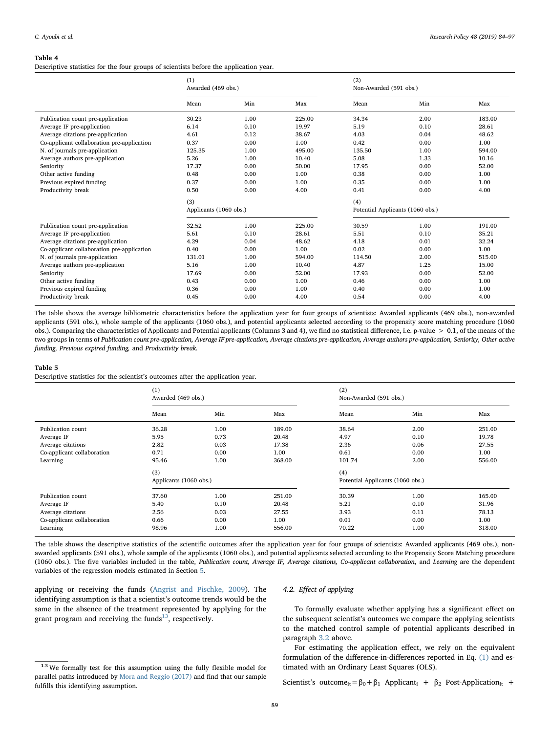<span id="page-6-0"></span>Descriptive statistics for the four groups of scientists before the application year.

|                                            | (1)<br>Awarded (469 obs.) |      |        | (2)<br>Non-Awarded (591 obs.)    |      |        |
|--------------------------------------------|---------------------------|------|--------|----------------------------------|------|--------|
|                                            | Mean                      | Min  | Max    | Mean                             | Min  | Max    |
| Publication count pre-application          | 30.23                     | 1.00 | 225.00 | 34.34                            | 2.00 | 183.00 |
| Average IF pre-application                 | 6.14                      | 0.10 | 19.97  | 5.19                             | 0.10 | 28.61  |
| Average citations pre-application          | 4.61                      | 0.12 | 38.67  | 4.03                             | 0.04 | 48.62  |
| Co-applicant collaboration pre-application | 0.37                      | 0.00 | 1.00   | 0.42                             | 0.00 | 1.00   |
| N. of journals pre-application             | 125.35                    | 1.00 | 495.00 | 135.50                           | 1.00 | 594.00 |
| Average authors pre-application            | 5.26                      | 1.00 | 10.40  | 5.08                             | 1.33 | 10.16  |
| Seniority                                  | 17.37                     | 0.00 | 50.00  | 17.95                            | 0.00 | 52.00  |
| Other active funding                       | 0.48                      | 0.00 | 1.00   | 0.38                             | 0.00 | 1.00   |
| Previous expired funding                   | 0.37                      | 0.00 | 1.00   | 0.35                             | 0.00 | 1.00   |
| Productivity break                         | 0.50                      | 0.00 | 4.00   | 0.41                             | 0.00 | 4.00   |
|                                            | (3)                       |      |        | (4)                              |      |        |
|                                            | Applicants (1060 obs.)    |      |        | Potential Applicants (1060 obs.) |      |        |
| Publication count pre-application          | 32.52                     | 1.00 | 225.00 | 30.59                            | 1.00 | 191.00 |
| Average IF pre-application                 | 5.61                      | 0.10 | 28.61  | 5.51                             | 0.10 | 35.21  |
| Average citations pre-application          | 4.29                      | 0.04 | 48.62  | 4.18                             | 0.01 | 32.24  |
| Co-applicant collaboration pre-application | 0.40                      | 0.00 | 1.00   | 0.02                             | 0.00 | 1.00   |
| N. of journals pre-application             | 131.01                    | 1.00 | 594.00 | 114.50                           | 2.00 | 515.00 |
| Average authors pre-application            | 5.16                      | 1.00 | 10.40  | 4.87                             | 1.25 | 15.00  |
| Seniority                                  | 17.69                     | 0.00 | 52.00  | 17.93                            | 0.00 | 52.00  |
| Other active funding                       | 0.43                      | 0.00 | 1.00   | 0.46                             | 0.00 | 1.00   |
| Previous expired funding                   | 0.36                      | 0.00 | 1.00   | 0.40                             | 0.00 | 1.00   |
| Productivity break                         | 0.45                      | 0.00 | 4.00   | 0.54                             | 0.00 | 4.00   |

The table shows the average bibliometric characteristics before the application year for four groups of scientists: Awarded applicants (469 obs.), non-awarded applicants (591 obs.), whole sample of the applicants (1060 obs.), and potential applicants selected according to the propensity score matching procedure (1060 obs.). Comparing the characteristics of Applicants and Potential applicants (Columns 3 and 4), we find no statistical difference, i.e. p-value > 0.1, of the means of the two groups in terms of Publication count pre-application, Average IF pre-application, Average citations pre-application, Average authors pre-application, Seniority, Other active funding, Previous expired funding, and Productivity break.

#### <span id="page-6-1"></span>Table 5

Descriptive statistics for the scientist's outcomes after the application year.

|                            | (1)<br>Awarded (469 obs.) |      |        | (2)<br>Non-Awarded (591 obs.)    |      |        |
|----------------------------|---------------------------|------|--------|----------------------------------|------|--------|
|                            | Mean                      | Min  | Max    | Mean                             | Min  | Max    |
| Publication count          | 36.28                     | 1.00 | 189.00 | 38.64                            | 2.00 | 251.00 |
| Average IF                 | 5.95                      | 0.73 | 20.48  | 4.97                             | 0.10 | 19.78  |
| Average citations          | 2.82                      | 0.03 | 17.38  | 2.36                             | 0.06 | 27.55  |
| Co-applicant collaboration | 0.71                      | 0.00 | 1.00   | 0.61                             | 0.00 | 1.00   |
| Learning                   | 95.46                     | 1.00 | 368.00 | 101.74                           | 2.00 | 556.00 |
|                            | (3)                       |      |        | (4)                              |      |        |
|                            | Applicants (1060 obs.)    |      |        | Potential Applicants (1060 obs.) |      |        |
| Publication count          | 37.60                     | 1.00 | 251.00 | 30.39                            | 1.00 | 165.00 |
| Average IF                 | 5.40                      | 0.10 | 20.48  | 5.21                             | 0.10 | 31.96  |
| Average citations          | 2.56                      | 0.03 | 27.55  | 3.93                             | 0.11 | 78.13  |
| Co-applicant collaboration | 0.66                      | 0.00 | 1.00   | 0.01                             | 0.00 | 1.00   |
| Learning                   | 98.96                     | 1.00 | 556.00 | 70.22                            | 1.00 | 318.00 |

The table shows the descriptive statistics of the scientific outcomes after the application year for four groups of scientists: Awarded applicants (469 obs.), nonawarded applicants (591 obs.), whole sample of the applicants (1060 obs.), and potential applicants selected according to the Propensity Score Matching procedure (1060 obs.). The five variables included in the table, Publication count, Average IF, Average citations, Co-applicant collaboration, and Learning are the dependent variables of the regression models estimated in Section [5.](#page-7-0)

applying or receiving the funds ([Angrist and Pischke, 2009](#page-13-6)). The identifying assumption is that a scientist's outcome trends would be the same in the absence of the treatment represented by applying for the grant program and receiving the funds $13$ , respectively.

#### 4.2. Effect of applying

To formally evaluate whether applying has a significant effect on the subsequent scientist's outcomes we compare the applying scientists to the matched control sample of potential applicants described in paragraph [3.2](#page-3-2) above.

For estimating the application effect, we rely on the equivalent formulation of the difference-in-differences reported in Eq. [\(1\)](#page-6-3) and estimated with an Ordinary Least Squares (OLS).

<span id="page-6-3"></span>Scientist's outcome<sub>it</sub>= $\beta_0 + \beta_1$  Applicant<sub>i</sub> +  $\beta_2$  Post-Application<sub>it</sub> +

<span id="page-6-2"></span><sup>13</sup> We formally test for this assumption using the fully flexible model for parallel paths introduced by [Mora and Reggio \(2017\)](#page-14-20) and find that our sample fulfills this identifying assumption.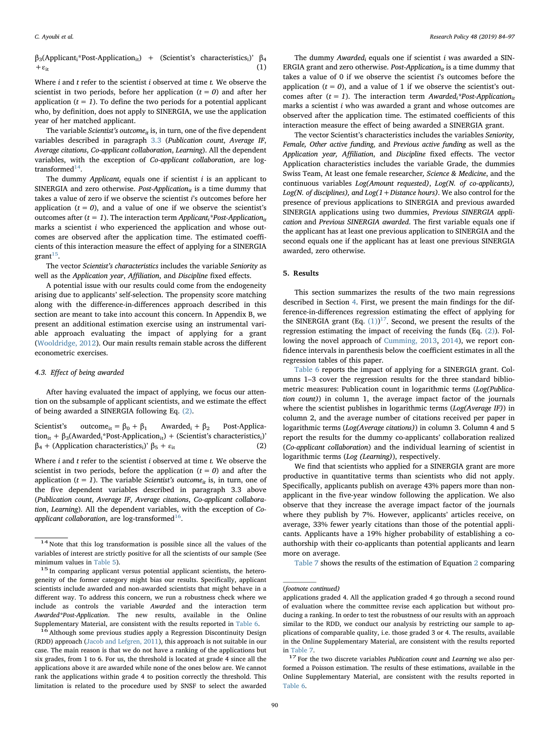$\beta_3$ (Applicant<sub>i</sub>\*Post-Application<sub>it</sub>) + (Scientist's characteristics<sub>i</sub>)'  $\beta_4$  $+\varepsilon_{it}$  (1)

Where  $i$  and  $t$  refer to the scientist  $i$  observed at time  $t$ . We observe the scientist in two periods, before her application  $(t=0)$  and after her application  $(t=1)$ . To define the two periods for a potential applicant who, by definition, does not apply to SINERGIA, we use the application year of her matched applicant.

The variable *Scientist's* outcome $i$ <sub>t</sub> is, in turn, one of the five dependent variables described in paragraph [3.3](#page-5-1) (Publication count, Average IF, Average citations, Co-applicant collaboration, Learning). All the dependent variables, with the exception of Co-applicant collaboration, are logtransformed $14$ .

The dummy  $Application_i$  equals one if scientist  $i$  is an applicant to SINERGIA and zero otherwise. Post-Application<sub>it</sub> is a time dummy that takes a value of zero if we observe the scientist i's outcomes before her application  $(t=0)$ , and a value of one if we observe the scientist's outcomes after ( $t=1$ ). The interaction term Applicant<sub>i</sub>\*Post-Application<sub>it</sub> marks a scientist i who experienced the application and whose outcomes are observed after the application time. The estimated coefficients of this interaction measure the effect of applying for a SINERGIA  $grant$ <sup>15</sup>.

The vector Scientist's characteristics includes the variable Seniority as well as the Application year, Affiliation, and Discipline fixed effects.

A potential issue with our results could come from the endogeneity arising due to applicants' self-selection. The propensity score matching along with the difference-in-differences approach described in this section are meant to take into account this concern. In Appendix B, we present an additional estimation exercise using an instrumental variable approach evaluating the impact of applying for a grant ([Wooldridge, 2012\)](#page-14-21). Our main results remain stable across the different econometric exercises.

#### 4.3. Effect of being awarded

After having evaluated the impact of applying, we focus our attention on the subsample of applicant scientists, and we estimate the effect of being awarded a SINERGIA following Eq. [\(2\)](#page-7-3).

<span id="page-7-3"></span>Scientist's outcome<sub>it</sub> =  $\beta_0 + \beta_1$  Awarded<sub>i</sub> +  $\beta_2$  Post-Application<sub>it</sub> +  $\beta_3$ (Awarded<sub>i</sub>\*Post-Application<sub>it</sub>) + (Scientist's characteristics<sub>i</sub>)'  $β<sub>4</sub> + (Application characteristics<sub>i</sub>)' β<sub>5</sub> + ε<sub>it</sub>$  (2)

Where  $i$  and  $t$  refer to the scientist  $i$  observed at time  $t$ . We observe the scientist in two periods, before the application  $(t=0)$  and after the application ( $t=1$ ). The variable *Scientist's outcome<sub>it</sub>* is, in turn, one of the five dependent variables described in paragraph 3.3 above (Publication count, Average IF, Average citations, Co-applicant collaboration, Learning). All the dependent variables, with the exception of Coapplicant collaboration, are log-transformed $^{16}$  $^{16}$  $^{16}$ .

The dummy  $Awarded_i$  equals one if scientist i was awarded a SIN-ERGIA grant and zero otherwise. Post-Application $u_i$  is a time dummy that takes a value of 0 if we observe the scientist i's outcomes before the application ( $t=0$ ), and a value of 1 if we observe the scientist's outcomes after ( $t=1$ ). The interaction term Awarded<sub>i</sub>\*Post-Application<sub>it</sub> marks a scientist  $i$  who was awarded a grant and whose outcomes are observed after the application time. The estimated coefficients of this interaction measure the effect of being awarded a SINERGIA grant.

The vector Scientist's characteristics includes the variables Seniority, Female, Other active funding, and Previous active funding as well as the Application year, Affiliation, and Discipline fixed effects. The vector Application characteristics includes the variable Grade, the dummies Swiss Team, At least one female researcher, Science & Medicine, and the continuous variables Log(Amount requested), Log(N. of co-applicants), Log(N. of disciplines), and  $Log(1+Distance hours)$ . We also control for the presence of previous applications to SINERGIA and previous awarded SINERGIA applications using two dummies, Previous SINERGIA application and Previous SINERGIA awarded. The first variable equals one if the applicant has at least one previous application to SINERGIA and the second equals one if the applicant has at least one previous SINERGIA awarded, zero otherwise.

#### <span id="page-7-0"></span>5. Results

This section summarizes the results of the two main regressions described in Section [4.](#page-5-0) First, we present the main findings for the difference-in-differences regression estimating the effect of applying for the SINERGIA grant  $(Eq. (1))$  $(Eq. (1))$  $(Eq. (1))$ <sup>17</sup>. Second, we present the results of the regression estimating the impact of receiving the funds (Eq. [\(2\)\)](#page-7-3). Following the novel approach of [Cumming, 2013](#page-14-18), [2014\)](#page-14-19), we report confidence intervals in parenthesis below the coefficient estimates in all the regression tables of this paper.

[Table 6](#page-8-1) reports the impact of applying for a SINERGIA grant. Columns 1–3 cover the regression results for the three standard bibliometric measures: Publication count in logarithmic terms (Log(Publication count)) in column 1, the average impact factor of the journals where the scientist publishes in logarithmic terms (Log(Average IF)) in column 2, and the average number of citations received per paper in logarithmic terms (Log(Average citations)) in column 3. Column 4 and 5 report the results for the dummy co-applicants' collaboration realized (Co-applicant collaboration) and the individual learning of scientist in logarithmic terms (Log (Learning)), respectively.

We find that scientists who applied for a SINERGIA grant are more productive in quantitative terms than scientists who did not apply. Specifically, applicants publish on average 43% papers more than nonapplicant in the five-year window following the application. We also observe that they increase the average impact factor of the journals where they publish by 7%. However, applicants' articles receive, on average, 33% fewer yearly citations than those of the potential applicants. Applicants have a 19% higher probability of establishing a coauthorship with their co-applicants than potential applicants and learn more on average.

[Table 7](#page-9-0) shows the results of the estimation of Equation [2](#page-2-0) comparing

<span id="page-7-1"></span><sup>14</sup> Note that this log transformation is possible since all the values of the variables of interest are strictly positive for all the scientists of our sample (See

<span id="page-7-2"></span>minimum values in [Table 5\)](#page-6-1).  $15$  In comparing applicant versus potential applicant scientists, the heterogeneity of the former category might bias our results. Specifically, applicant scientists include awarded and non-awarded scientists that might behave in a different way. To address this concern, we run a robustness check where we include as controls the variable Awarded and the interaction term Awarded\*Post-Application. The new results, available in the Online Supplementary Material, are consistent with the results reported in [Table 6.](#page-8-1) <sup>16</sup> Although some previous studies apply a Regression Discontinuity Design

<span id="page-7-4"></span><sup>(</sup>RDD) approach ([Jacob and Lefgren, 2011\)](#page-14-9), this approach is not suitable in our case. The main reason is that we do not have a ranking of the applications but six grades, from 1 to 6. For us, the threshold is located at grade 4 since all the applications above it are awarded while none of the ones below are. We cannot rank the applications within grade 4 to position correctly the threshold. This limitation is related to the procedure used by SNSF to select the awarded

<sup>(</sup>footnote continued)

applications graded 4. All the application graded 4 go through a second round of evaluation where the committee revise each application but without producing a ranking. In order to test the robustness of our results with an approach similar to the RDD, we conduct our analysis by restricting our sample to applications of comparable quality, i.e. those graded 3 or 4. The results, available in the Online Supplementary Material, are consistent with the results reported in [Table 7](#page-9-0). 17 For the two discrete variables *Publication count* and *Learning* we also per-

<span id="page-7-5"></span>formed a Poisson estimation. The results of these estimations, available in the Online Supplementary Material, are consistent with the results reported in [Table 6.](#page-8-1)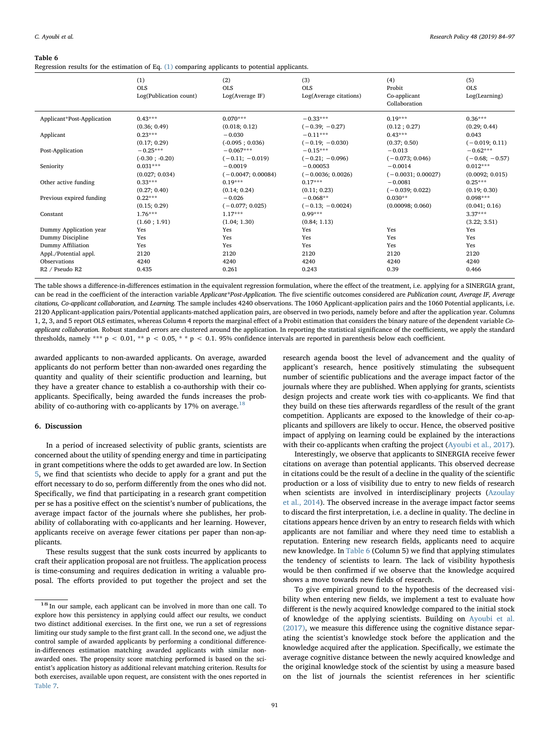<span id="page-8-1"></span>Regression results for the estimation of Eq. [\(1\)](#page-6-3) comparing applicants to potential applicants.

|                                                        | (1)<br><b>OLS</b><br>Log(Publication count) | (2)<br><b>OLS</b><br>Log(Average IF)          | (3)<br><b>OLS</b><br>Log(Average citations)         | (4)<br>Probit<br>Co-applicant<br>Collaboration | (5)<br><b>OLS</b><br>Log(Learning)        |
|--------------------------------------------------------|---------------------------------------------|-----------------------------------------------|-----------------------------------------------------|------------------------------------------------|-------------------------------------------|
| Applicant*Post-Application                             | $0.43***$                                   | $0.070***$                                    | $-0.33***$                                          | $0.19***$                                      | $0.36***$                                 |
| Applicant                                              | (0.36; 0.49)<br>$0.23***$<br>(0.17; 0.29)   | (0.018; 0.12)<br>$-0.030$<br>$(-0.095:0.036)$ | $(-0.39; -0.27)$<br>$-0.11***$<br>$(-0.19; -0.030)$ | (0.12:0.27)<br>$0.43***$<br>(0.37; 0.50)       | (0.29; 0.44)<br>0.043<br>$(-0.019; 0.11)$ |
| Post-Application                                       | $-0.25***$<br>$(-0.30:-0.20)$               | $-0.067***$<br>$(-0.11; -0.019)$              | $-0.15***$<br>$(-0.21; -0.096)$                     | $-0.013$<br>$(-0.073; 0.046)$                  | $-0.62***$<br>$(-0.68; -0.57)$            |
| Seniority                                              | $0.031***$<br>(0.027; 0.034)                | $-0.0019$<br>$(-0.0047; 0.00084)$             | $-0.00053$<br>$(-0.0036; 0.0026)$                   | $-0.0014$<br>$(-0.0031; 0.00027)$              | $0.012***$<br>(0.0092; 0.015)             |
| Other active funding                                   | $0.33***$<br>(0.27; 0.40)                   | $0.19***$<br>(0.14; 0.24)                     | $0.17***$<br>(0.11; 0.23)                           | $-0.0081$<br>$(-0.039; 0.022)$                 | $0.25***$<br>(0.19; 0.30)                 |
| Previous expired funding                               | $0.22***$<br>(0.15; 0.29)                   | $-0.026$<br>$(-0.077; 0.025)$                 | $-0.068**$<br>$(-0.13; -0.0024)$                    | $0.030**$<br>(0.00098; 0.060)                  | $0.098***$<br>(0.041; 0.16)               |
| Constant                                               | $1.76***$                                   | $1.17***$<br>(1.04; 1.30)                     | $0.99***$<br>(0.84; 1.13)                           |                                                | $3.37***$<br>(3.22; 3.51)                 |
| Dummy Application year                                 | (1.60; 1.91)<br>Yes                         | Yes                                           | Yes                                                 | Yes                                            | Yes                                       |
| Dummy Discipline                                       | Yes                                         | Yes                                           | Yes                                                 | Yes                                            | Yes                                       |
| Dummy Affiliation                                      | Yes                                         | Yes                                           | Yes                                                 | Yes                                            | Yes                                       |
| Appl./Potential appl.                                  | 2120                                        | 2120                                          | 2120                                                | 2120                                           | 2120                                      |
| Observations<br>R <sub>2</sub> / Pseudo R <sub>2</sub> | 4240<br>0.435                               | 4240<br>0.261                                 | 4240<br>0.243                                       | 4240<br>0.39                                   | 4240<br>0.466                             |

The table shows a difference-in-differences estimation in the equivalent regression formulation, where the effect of the treatment, i.e. applying for a SINERGIA grant, can be read in the coefficient of the interaction variable Applicant\*Post-Application. The five scientific outcomes considered are Publication count, Average IF, Average citations, Co-applicant collaboration, and Learning. The sample includes 4240 observations. The 1060 Applicant-application pairs and the 1060 Potential applicants, i.e. 2120 Applicant-application pairs/Potential applicants-matched application pairs, are observed in two periods, namely before and after the application year. Columns 1, 2, 3, and 5 report OLS estimates, whereas Column 4 reports the marginal effect of a Probit estimation that considers the binary nature of the dependent variable Coapplicant collaboration. Robust standard errors are clustered around the application. In reporting the statistical significance of the coefficients, we apply the standard thresholds, namely \*\*\* p < 0.01, \*\* p < 0.05, \* \* p < 0.1. 95% confidence intervals are reported in parenthesis below each coefficient.

awarded applicants to non-awarded applicants. On average, awarded applicants do not perform better than non-awarded ones regarding the quantity and quality of their scientific production and learning, but they have a greater chance to establish a co-authorship with their coapplicants. Specifically, being awarded the funds increases the probability of co-authoring with co-applicants by 17% on average. $1$ 

### <span id="page-8-0"></span>6. Discussion

In a period of increased selectivity of public grants, scientists are concerned about the utility of spending energy and time in participating in grant competitions where the odds to get awarded are low. In Section [5](#page-7-0), we find that scientists who decide to apply for a grant and put the effort necessary to do so, perform differently from the ones who did not. Specifically, we find that participating in a research grant competition per se has a positive effect on the scientist's number of publications, the average impact factor of the journals where she publishes, her probability of collaborating with co-applicants and her learning. However, applicants receive on average fewer citations per paper than non-applicants.

These results suggest that the sunk costs incurred by applicants to craft their application proposal are not fruitless. The application process is time-consuming and requires dedication in writing a valuable proposal. The efforts provided to put together the project and set the research agenda boost the level of advancement and the quality of applicant's research, hence positively stimulating the subsequent number of scientific publications and the average impact factor of the journals where they are published. When applying for grants, scientists design projects and create work ties with co-applicants. We find that they build on these ties afterwards regardless of the result of the grant competition. Applicants are exposed to the knowledge of their co-applicants and spillovers are likely to occur. Hence, the observed positive impact of applying on learning could be explained by the interactions with their co-applicants when crafting the project ([Ayoubi et al., 2017](#page-13-5)).

Interestingly, we observe that applicants to SINERGIA receive fewer citations on average than potential applicants. This observed decrease in citations could be the result of a decline in the quality of the scientific production or a loss of visibility due to entry to new fields of research when scientists are involved in interdisciplinary projects [\(Azoulay](#page-13-7) [et al., 2014\)](#page-13-7). The observed increase in the average impact factor seems to discard the first interpretation, i.e. a decline in quality. The decline in citations appears hence driven by an entry to research fields with which applicants are not familiar and where they need time to establish a reputation. Entering new research fields, applicants need to acquire new knowledge. In [Table 6](#page-8-1) (Column 5) we find that applying stimulates the tendency of scientists to learn. The lack of visibility hypothesis would be then confirmed if we observe that the knowledge acquired shows a move towards new fields of research.

To give empirical ground to the hypothesis of the decreased visibility when entering new fields, we implement a test to evaluate how different is the newly acquired knowledge compared to the initial stock of knowledge of the applying scientists. Building on [Ayoubi et al.](#page-13-5) [\(2017\),](#page-13-5) we measure this difference using the cognitive distance separating the scientist's knowledge stock before the application and the knowledge acquired after the application. Specifically, we estimate the average cognitive distance between the newly acquired knowledge and the original knowledge stock of the scientist by using a measure based on the list of journals the scientist references in her scientific

<span id="page-8-2"></span><sup>18</sup> In our sample, each applicant can be involved in more than one call. To explore how this persistency in applying could affect our results, we conduct two distinct additional exercises. In the first one, we run a set of regressions limiting our study sample to the first grant call. In the second one, we adjust the control sample of awarded applicants by performing a conditional differencein-differences estimation matching awarded applicants with similar nonawarded ones. The propensity score matching performed is based on the scientist's application history as additional relevant matching criterion. Results for both exercises, available upon request, are consistent with the ones reported in [Table 7.](#page-9-0)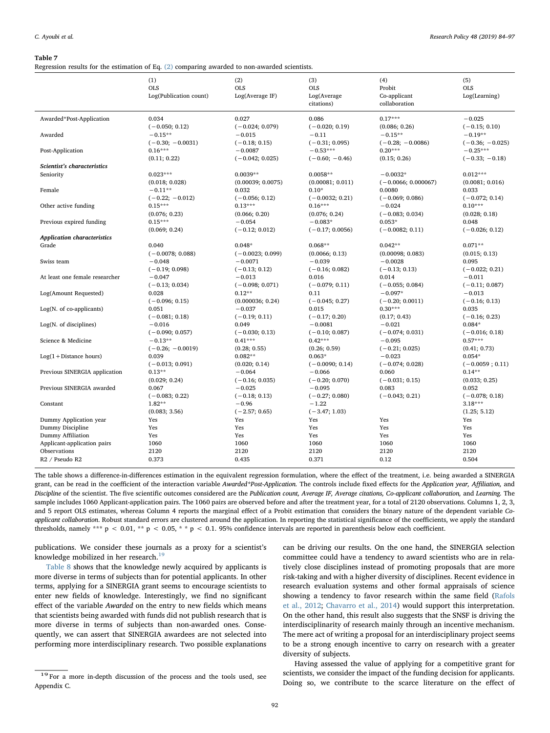<span id="page-9-0"></span>Regression results for the estimation of Eq. [\(2\)](#page-7-3) comparing awarded to non-awarded scientists.

|                                        | (1)                          | (2)                           | (3)                       | (4)                            | (5)                          |
|----------------------------------------|------------------------------|-------------------------------|---------------------------|--------------------------------|------------------------------|
|                                        | <b>OLS</b>                   | <b>OLS</b>                    | <b>OLS</b>                | Probit                         | <b>OLS</b>                   |
|                                        | Log(Publication count)       | Log(Average IF)               | Log(Average<br>citations) | Co-applicant<br>collaboration  | Log(Learning)                |
|                                        |                              |                               |                           |                                |                              |
| Awarded*Post-Application               | 0.034                        | 0.027                         | 0.086                     | $0.17***$                      | $-0.025$                     |
|                                        | $(-0.050; 0.12)$             | $(-0.024; 0.079)$             | $(-0.020; 0.19)$          | (0.086; 0.26)                  | $(-0.15; 0.10)$              |
| Awarded                                | $-0.15**$                    | $-0.015$                      | $-0.11$                   | $-0.15**$                      | $-0.19**$                    |
|                                        | $(-0.30; -0.0031)$           | $(-0.18; 0.15)$               | $(-0.31; 0.095)$          | $(-0.28; -0.0086)$             | $(-0.36; -0.025)$            |
| Post-Application                       | $0.16***$                    | $-0.0087$                     | $-0.53***$                | $0.20***$                      | $-0.25***$                   |
|                                        | (0.11; 0.22)                 | $(-0.042; 0.025)$             | $(-0.60; -0.46)$          | (0.15; 0.26)                   | $(-0.33; -0.18)$             |
| Scientist's characteristics            |                              |                               |                           |                                |                              |
| Seniority                              | $0.023***$                   | $0.0039**$                    | $0.0058**$                | $-0.0032*$                     | $0.012***$                   |
|                                        | (0.018; 0.028)               | (0.00039; 0.0075)             | (0.00081; 0.011)          | $(-0.0066; 0.000067)$          | (0.0081; 0.016)              |
| Female                                 | $-0.11**$                    | 0.032                         | $0.10*$                   | 0.0080                         | 0.033                        |
|                                        | $(-0.22; -0.012)$            | $(-0.056; 0.12)$              | $(-0.0032; 0.21)$         | $(-0.069; 0.086)$              | $(-0.072; 0.14)$             |
| Other active funding                   | $0.15***$                    | $0.13***$                     | $0.16***$                 | $-0.024$                       | $0.10***$                    |
|                                        | (0.076; 0.23)                | (0.066; 0.20)                 | (0.076; 0.24)             | $(-0.083; 0.034)$              | (0.028; 0.18)                |
| Previous expired funding               | $0.15***$                    | $-0.054$                      | $-0.083*$                 | $0.053*$                       | 0.048                        |
|                                        | (0.069; 0.24)                | $(-0.12; 0.012)$              | $(-0.17; 0.0056)$         | $(-0.0082; 0.11)$              | $(-0.026; 0.12)$             |
| <b>Application characteristics</b>     |                              |                               |                           |                                |                              |
| Grade                                  | 0.040                        | $0.048*$                      | $0.068**$                 | $0.042**$                      | $0.071**$                    |
|                                        | $(-0.0078; 0.088)$           | $(-0.0023; 0.099)$            | (0.0066; 0.13)            | (0.00098; 0.083)               | (0.015; 0.13)                |
| Swiss team                             | $-0.048$                     | $-0.0071$                     | $-0.039$                  | $-0.0028$                      | 0.095                        |
| At least one female researcher         | $(-0.19; 0.098)$<br>$-0.047$ | $(-0.13; 0.12)$<br>$-0.013$   | $(-0.16; 0.082)$<br>0.016 | $(-0.13; 0.13)$<br>0.014       | $(-0.022; 0.21)$<br>$-0.011$ |
|                                        |                              |                               |                           |                                |                              |
|                                        | $(-0.13; 0.034)$<br>0.028    | $(-0.098; 0.071)$<br>$0.12**$ | $(-0.079; 0.11)$<br>0.11  | $(-0.055; 0.084)$<br>$-0.097*$ | $(-0.11; 0.087)$<br>$-0.013$ |
| Log(Amount Requested)                  | $(-0.096; 0.15)$             | (0.000036; 0.24)              | $(-0.045; 0.27)$          | $(-0.20; 0.0011)$              | $(-0.16; 0.13)$              |
| $Log(N. of co-applicants)$             | 0.051                        | $-0.037$                      | 0.015                     | $0.30***$                      | 0.035                        |
|                                        | $(-0.081; 0.18)$             | $(-0.19; 0.11)$               | $(-0.17; 0.20)$           | (0.17; 0.43)                   | $(-0.16; 0.23)$              |
| Log(N. of disciplines)                 | $-0.016$                     | 0.049                         | $-0.0081$                 | $-0.021$                       | $0.084*$                     |
|                                        | $(-0.090; 0.057)$            | $(-0.030; 0.13)$              | $(-0.10; 0.087)$          | $(-0.074; 0.031)$              | $(-0.016; 0.18)$             |
| Science & Medicine                     | $-0.13**$                    | $0.41***$                     | $0.42***$                 | $-0.095$                       | $0.57***$                    |
|                                        | $(-0.26; -0.0019)$           | (0.28; 0.55)                  | (0.26; 0.59)              | $(-0.21; 0.025)$               | (0.41; 0.73)                 |
| $Log(1 + Distance hours)$              | 0.039                        | $0.082**$                     | $0.063*$                  | $-0.023$                       | $0.054*$                     |
|                                        | $(-0.013; 0.091)$            | (0.020; 0.14)                 | $(-0.0090; 0.14)$         | $(-0.074; 0.028)$              | $(-0.0059; 0.11)$            |
| Previous SINERGIA application          | $0.13**$                     | $-0.064$                      | $-0.066$                  | 0.060                          | $0.14**$                     |
|                                        | (0.029; 0.24)                | $(-0.16; 0.035)$              | $(-0.20; 0.070)$          | $(-0.031; 0.15)$               | (0.033; 0.25)                |
| Previous SINERGIA awarded              | 0.067                        | $-0.025$                      | $-0.095$                  | 0.083                          | 0.052                        |
|                                        | $(-0.083; 0.22)$             | $(-0.18; 0.13)$               | $(-0.27; 0.080)$          | $(-0.043; 0.21)$               | $(-0.078; 0.18)$             |
| Constant                               | $1.82**$                     | $-0.96$                       | $-1.22$                   |                                | $3.18***$                    |
|                                        | (0.083; 3.56)                | $(-2.57; 0.65)$               | $(-3.47; 1.03)$           |                                | (1.25; 5.12)                 |
| Dummy Application year                 | Yes                          | Yes                           | Yes                       | Yes                            | Yes                          |
| Dummy Discipline                       | Yes                          | Yes                           | Yes                       | Yes                            | Yes                          |
| Dummy Affiliation                      | Yes                          | Yes                           | Yes                       | Yes                            | Yes                          |
| Applicant-application pairs            | 1060                         | 1060                          | 1060                      | 1060                           | 1060                         |
| Observations                           | 2120                         | 2120                          | 2120                      | 2120                           | 2120                         |
| R <sub>2</sub> / Pseudo R <sub>2</sub> | 0.373                        | 0.435                         | 0.371                     | 0.12                           | 0.504                        |
|                                        |                              |                               |                           |                                |                              |

The table shows a difference-in-differences estimation in the equivalent regression formulation, where the effect of the treatment, i.e. being awarded a SINERGIA grant, can be read in the coefficient of the interaction variable Awarded\*Post-Application. The controls include fixed effects for the Application year, Affiliation, and Discipline of the scientist. The five scientific outcomes considered are the Publication count, Average IF, Average citations, Co-applicant collaboration, and Learning. The sample includes 1060 Applicant-application pairs. The 1060 pairs are observed before and after the treatment year, for a total of 2120 observations. Columns 1, 2, 3, and 5 report OLS estimates, whereas Column 4 reports the marginal effect of a Probit estimation that considers the binary nature of the dependent variable Coapplicant collaboration. Robust standard errors are clustered around the application. In reporting the statistical significance of the coefficients, we apply the standard thresholds, namely \*\*\* p < 0.01, \*\* p < 0.05, \* \* p < 0.1. 95% confidence intervals are reported in parenthesis below each coefficient.

publications. We consider these journals as a proxy for a scientist's knowledge mobilized in her research.<sup>[19](#page-9-1)</sup>

[Table 8](#page-10-1) shows that the knowledge newly acquired by applicants is more diverse in terms of subjects than for potential applicants. In other terms, applying for a SINERGIA grant seems to encourage scientists to enter new fields of knowledge. Interestingly, we find no significant effect of the variable Awarded on the entry to new fields which means that scientists being awarded with funds did not publish research that is more diverse in terms of subjects than non-awarded ones. Consequently, we can assert that SINERGIA awardees are not selected into performing more interdisciplinary research. Two possible explanations can be driving our results. On the one hand, the SINERGIA selection committee could have a tendency to award scientists who are in relatively close disciplines instead of promoting proposals that are more risk-taking and with a higher diversity of disciplines. Recent evidence in research evaluation systems and other formal appraisals of science showing a tendency to favor research within the same field ([Rafols](#page-14-22) [et al., 2012;](#page-14-22) [Chavarro et al., 2014](#page-14-23)) would support this interpretation. On the other hand, this result also suggests that the SNSF is driving the interdisciplinarity of research mainly through an incentive mechanism. The mere act of writing a proposal for an interdisciplinary project seems to be a strong enough incentive to carry on research with a greater diversity of subjects.

Having assessed the value of applying for a competitive grant for scientists, we consider the impact of the funding decision for applicants. Doing so, we contribute to the scarce literature on the effect of

<span id="page-9-1"></span><sup>&</sup>lt;sup>19</sup> For a more in-depth discussion of the process and the tools used, see Appendix C.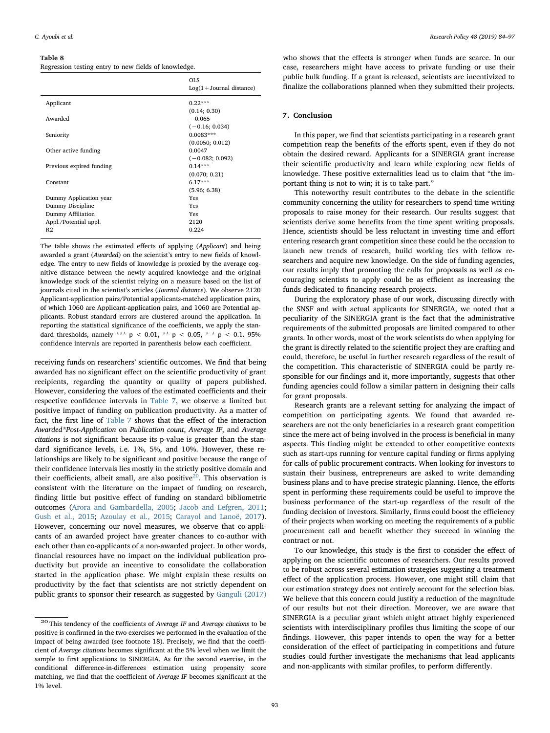<span id="page-10-1"></span>Regression testing entry to new fields of knowledge.

|                          | <b>OLS</b><br>$Log(1 + Journal distance)$ |
|--------------------------|-------------------------------------------|
| Applicant                | $0.22***$                                 |
|                          | (0.14; 0.30)                              |
| Awarded                  | $-0.065$                                  |
|                          | $(-0.16; 0.034)$                          |
| Seniority                | $0.0083***$                               |
|                          | (0.0050; 0.012)                           |
| Other active funding     | 0.0047                                    |
|                          | $(-0.082; 0.092)$                         |
| Previous expired funding | $0.14***$                                 |
|                          | (0.070; 0.21)                             |
| Constant                 | $6.17***$                                 |
|                          | (5.96; 6.38)                              |
| Dummy Application year   | Yes                                       |
| Dummy Discipline         | <b>Yes</b>                                |
| Dummy Affiliation        | Yes                                       |
| Appl./Potential appl.    | 2120                                      |
| R2                       | 0.224                                     |
|                          |                                           |

The table shows the estimated effects of applying (Applicant) and being awarded a grant (Awarded) on the scientist's entry to new fields of knowledge. The entry to new fields of knowledge is proxied by the average cognitive distance between the newly acquired knowledge and the original knowledge stock of the scientist relying on a measure based on the list of journals cited in the scientist's articles (Journal distance). We observe 2120 Applicant-application pairs/Potential applicants-matched application pairs, of which 1060 are Applicant-application pairs, and 1060 are Potential applicants. Robust standard errors are clustered around the application. In reporting the statistical significance of the coefficients, we apply the standard thresholds, namely \*\*\*  $p < 0.01$ , \*\*  $p < 0.05$ , \* \*  $p < 0.1$ . 95% confidence intervals are reported in parenthesis below each coefficient.

receiving funds on researchers' scientific outcomes. We find that being awarded has no significant effect on the scientific productivity of grant recipients, regarding the quantity or quality of papers published. However, considering the values of the estimated coefficients and their respective confidence intervals in [Table 7,](#page-9-0) we observe a limited but positive impact of funding on publication productivity. As a matter of fact, the first line of [Table 7](#page-9-0) shows that the effect of the interaction Awarded\*Post-Application on Publication count, Average IF, and Average citations is not significant because its p-value is greater than the standard significance levels, i.e. 1%, 5%, and 10%. However, these relationships are likely to be significant and positive because the range of their confidence intervals lies mostly in the strictly positive domain and their coefficients, albeit small, are also positive<sup>[20](#page-10-2)</sup>. This observation is consistent with the literature on the impact of funding on research, finding little but positive effect of funding on standard bibliometric outcomes [\(Arora and Gambardella, 2005](#page-13-3); [Jacob and Lefgren, 2011](#page-14-9); [Gush et al., 2015;](#page-14-24) [Azoulay et al., 2015](#page-13-4); [Carayol and Lanoë, 2017](#page-14-10)). However, concerning our novel measures, we observe that co-applicants of an awarded project have greater chances to co-author with each other than co-applicants of a non-awarded project. In other words, financial resources have no impact on the individual publication productivity but provide an incentive to consolidate the collaboration started in the application phase. We might explain these results on productivity by the fact that scientists are not strictly dependent on public grants to sponsor their research as suggested by [Ganguli \(2017\)](#page-14-25)

who shows that the effects is stronger when funds are scarce. In our case, researchers might have access to private funding or use their public bulk funding. If a grant is released, scientists are incentivized to finalize the collaborations planned when they submitted their projects.

#### <span id="page-10-0"></span>7. Conclusion

In this paper, we find that scientists participating in a research grant competition reap the benefits of the efforts spent, even if they do not obtain the desired reward. Applicants for a SINERGIA grant increase their scientific productivity and learn while exploring new fields of knowledge. These positive externalities lead us to claim that "the important thing is not to win; it is to take part."

This noteworthy result contributes to the debate in the scientific community concerning the utility for researchers to spend time writing proposals to raise money for their research. Our results suggest that scientists derive some benefits from the time spent writing proposals. Hence, scientists should be less reluctant in investing time and effort entering research grant competition since these could be the occasion to launch new trends of research, build working ties with fellow researchers and acquire new knowledge. On the side of funding agencies, our results imply that promoting the calls for proposals as well as encouraging scientists to apply could be as efficient as increasing the funds dedicated to financing research projects.

During the exploratory phase of our work, discussing directly with the SNSF and with actual applicants for SINERGIA, we noted that a peculiarity of the SINERGIA grant is the fact that the administrative requirements of the submitted proposals are limited compared to other grants. In other words, most of the work scientists do when applying for the grant is directly related to the scientific project they are crafting and could, therefore, be useful in further research regardless of the result of the competition. This characteristic of SINERGIA could be partly responsible for our findings and it, more importantly, suggests that other funding agencies could follow a similar pattern in designing their calls for grant proposals.

Research grants are a relevant setting for analyzing the impact of competition on participating agents. We found that awarded researchers are not the only beneficiaries in a research grant competition since the mere act of being involved in the process is beneficial in many aspects. This finding might be extended to other competitive contexts such as start-ups running for venture capital funding or firms applying for calls of public procurement contracts. When looking for investors to sustain their business, entrepreneurs are asked to write demanding business plans and to have precise strategic planning. Hence, the efforts spent in performing these requirements could be useful to improve the business performance of the start-up regardless of the result of the funding decision of investors. Similarly, firms could boost the efficiency of their projects when working on meeting the requirements of a public procurement call and benefit whether they succeed in winning the contract or not.

To our knowledge, this study is the first to consider the effect of applying on the scientific outcomes of researchers. Our results proved to be robust across several estimation strategies suggesting a treatment effect of the application process. However, one might still claim that our estimation strategy does not entirely account for the selection bias. We believe that this concern could justify a reduction of the magnitude of our results but not their direction. Moreover, we are aware that SINERGIA is a peculiar grant which might attract highly experienced scientists with interdisciplinary profiles thus limiting the scope of our findings. However, this paper intends to open the way for a better consideration of the effect of participating in competitions and future studies could further investigate the mechanisms that lead applicants and non-applicants with similar profiles, to perform differently.

<span id="page-10-2"></span> $20$  This tendency of the coefficients of Average IF and Average citations to be positive is confirmed in the two exercises we performed in the evaluation of the impact of being awarded (see footnote 18). Precisely, we find that the coefficient of Average citations becomes significant at the 5% level when we limit the sample to first applications to SINERGIA. As for the second exercise, in the conditional difference-in-differences estimation using propensity score matching, we find that the coefficient of Average IF becomes significant at the 1% level.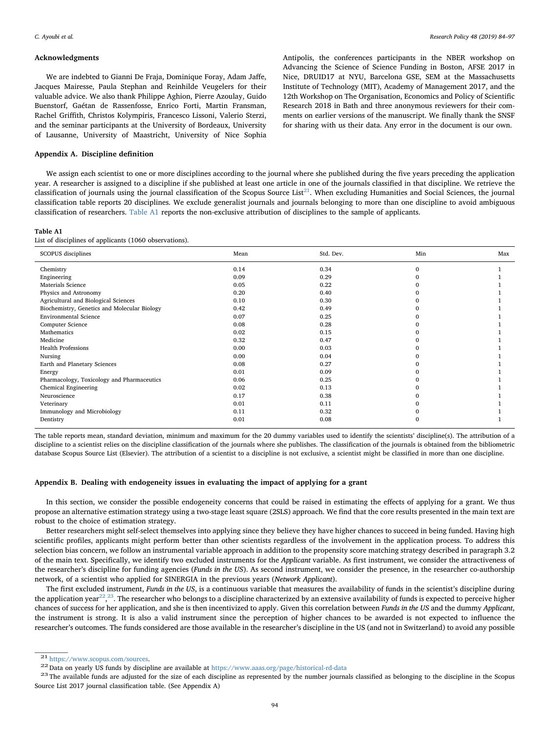We are indebted to Gianni De Fraja, Dominique Foray, Adam Jaffe, Jacques Mairesse, Paula Stephan and Reinhilde Veugelers for their valuable advice. We also thank Philippe Aghion, Pierre Azoulay, Guido Buenstorf, Gaétan de Rassenfosse, Enrico Forti, Martin Fransman, Rachel Griffith, Christos Kolympiris, Francesco Lissoni, Valerio Sterzi, and the seminar participants at the University of Bordeaux, University of Lausanne, University of Maastricht, University of Nice Sophia

Antipolis, the conferences participants in the NBER workshop on Advancing the Science of Science Funding in Boston, AFSE 2017 in Nice, DRUID17 at NYU, Barcelona GSE, SEM at the Massachusetts Institute of Technology (MIT), Academy of Management 2017, and the 12th Workshop on The Organisation, Economics and Policy of Scientific Research 2018 in Bath and three anonymous reviewers for their comments on earlier versions of the manuscript. We finally thank the SNSF for sharing with us their data. Any error in the document is our own.

### Appendix A. Discipline definition

We assign each scientist to one or more disciplines according to the journal where she published during the five years preceding the application year. A researcher is assigned to a discipline if she published at least one article in one of the journals classified in that discipline. We retrieve the classification of journals using the journal classification of the Scopus Source List<sup>21</sup>. When excluding Humanities and Social Sciences, the journal classification table reports 20 disciplines. We exclude generalist journals and journals belonging to more than one discipline to avoid ambiguous classification of researchers. [Table A1](#page-11-1) reports the non-exclusive attribution of disciplines to the sample of applicants.

#### <span id="page-11-1"></span>Table A1

List of disciplines of applicants (1060 observations).

| <b>SCOPUS</b> disciplines                    | Mean | Std. Dev. | Min      | Max |
|----------------------------------------------|------|-----------|----------|-----|
| Chemistry                                    | 0.14 | 0.34      | $\Omega$ |     |
| Engineering                                  | 0.09 | 0.29      |          |     |
| Materials Science                            | 0.05 | 0.22      |          |     |
| Physics and Astronomy                        | 0.20 | 0.40      |          |     |
| Agricultural and Biological Sciences         | 0.10 | 0.30      |          |     |
| Biochemistry, Genetics and Molecular Biology | 0.42 | 0.49      |          |     |
| <b>Environmental Science</b>                 | 0.07 | 0.25      |          |     |
| Computer Science                             | 0.08 | 0.28      |          |     |
| Mathematics                                  | 0.02 | 0.15      |          |     |
| Medicine                                     | 0.32 | 0.47      |          |     |
| <b>Health Professions</b>                    | 0.00 | 0.03      |          |     |
| Nursing                                      | 0.00 | 0.04      |          |     |
| Earth and Planetary Sciences                 | 0.08 | 0.27      |          |     |
| Energy                                       | 0.01 | 0.09      |          |     |
| Pharmacology, Toxicology and Pharmaceutics   | 0.06 | 0.25      |          |     |
| Chemical Engineering                         | 0.02 | 0.13      |          |     |
| Neuroscience                                 | 0.17 | 0.38      |          |     |
| Veterinary                                   | 0.01 | 0.11      |          |     |
| Immunology and Microbiology                  | 0.11 | 0.32      |          |     |
| Dentistry                                    | 0.01 | 0.08      |          |     |
|                                              |      |           |          |     |

The table reports mean, standard deviation, minimum and maximum for the 20 dummy variables used to identify the scientists' discipline(s). The attribution of a discipline to a scientist relies on the discipline classification of the journals where she publishes. The classification of the journals is obtained from the bibliometric database Scopus Source List (Elsevier). The attribution of a scientist to a discipline is not exclusive, a scientist might be classified in more than one discipline.

#### Appendix B. Dealing with endogeneity issues in evaluating the impact of applying for a grant

In this section, we consider the possible endogeneity concerns that could be raised in estimating the effects of applying for a grant. We thus propose an alternative estimation strategy using a two-stage least square (2SLS) approach. We find that the core results presented in the main text are robust to the choice of estimation strategy.

Better researchers might self-select themselves into applying since they believe they have higher chances to succeed in being funded. Having high scientific profiles, applicants might perform better than other scientists regardless of the involvement in the application process. To address this selection bias concern, we follow an instrumental variable approach in addition to the propensity score matching strategy described in paragraph 3.2 of the main text. Specifically, we identify two excluded instruments for the Applicant variable. As first instrument, we consider the attractiveness of the researcher's discipline for funding agencies (Funds in the US). As second instrument, we consider the presence, in the researcher co-authorship network, of a scientist who applied for SINERGIA in the previous years (Network Applicant).

The first excluded instrument, Funds in the US, is a continuous variable that measures the availability of funds in the scientist's discipline during the application year<sup>[22](#page-11-2)</sup>,<sup>[23](#page-11-3)</sup>. The researcher who belongs to a discipline characterized by an extensive availability of funds is expected to perceive higher chances of success for her application, and she is then incentivized to apply. Given this correlation between Funds in the US and the dummy Applicant, the instrument is strong. It is also a valid instrument since the perception of higher chances to be awarded is not expected to influence the researcher's outcomes. The funds considered are those available in the researcher's discipline in the US (and not in Switzerland) to avoid any possible

<span id="page-11-2"></span>

<span id="page-11-3"></span>

<span id="page-11-0"></span> $^{21}$  [https://www.scopus.com/sources.](https://www.scopus.com/sources)<br><sup>22</sup> Data on yearly US funds by discipline are available at <https://www.aaas.org/page/historical-rd-data><br><sup>23</sup> The available funds are adjusted for the size of each discipline as repr Source List 2017 journal classification table. (See Appendix A)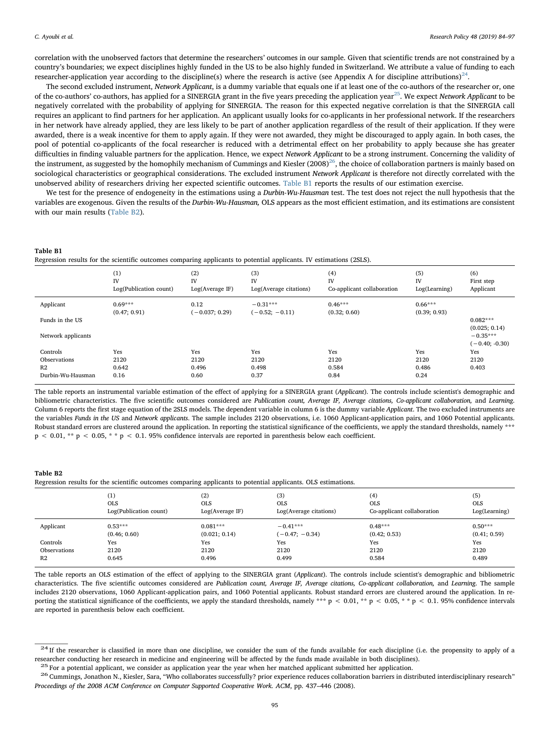correlation with the unobserved factors that determine the researchers' outcomes in our sample. Given that scientific trends are not constrained by a country's boundaries; we expect disciplines highly funded in the US to be also highly funded in Switzerland. We attribute a value of funding to each researcher-application year according to the discipline(s) where the research is active (see Appendix A for discipline attributions)<sup>24</sup>.

The second excluded instrument, Network Applicant, is a dummy variable that equals one if at least one of the co-authors of the researcher or, one of the co-authors' co-authors, has applied for a SINERGIA grant in the five years preceding the application year<sup>[25](#page-12-1)</sup>. We expect Network Applicant to be negatively correlated with the probability of applying for SINERGIA. The reason for this expected negative correlation is that the SINERGIA call requires an applicant to find partners for her application. An applicant usually looks for co-applicants in her professional network. If the researchers in her network have already applied, they are less likely to be part of another application regardless of the result of their application. If they were awarded, there is a weak incentive for them to apply again. If they were not awarded, they might be discouraged to apply again. In both cases, the pool of potential co-applicants of the focal researcher is reduced with a detrimental effect on her probability to apply because she has greater difficulties in finding valuable partners for the application. Hence, we expect Network Applicant to be a strong instrument. Concerning the validity of the instrument, as suggested by the homophily mechanism of Cummings and Kiesler  $(2008)^{26}$  $(2008)^{26}$  $(2008)^{26}$ , the choice of collaboration partners is mainly based on sociological characteristics or geographical considerations. The excluded instrument Network Applicant is therefore not directly correlated with the unobserved ability of researchers driving her expected scientific outcomes. [Table B1](#page-12-3) reports the results of our estimation exercise.

We test for the presence of endogeneity in the estimations using a Durbin-Wu-Hausman test. The test does not reject the null hypothesis that the variables are exogenous. Given the results of the Durbin-Wu-Hausman, OLS appears as the most efficient estimation, and its estimations are consistent with our main results ([Table B2](#page-12-4)).

#### <span id="page-12-3"></span>Table B1

Regression results for the scientific outcomes comparing applicants to potential applicants. IV estimations (2SLS).

|                    | (1)<br>IV<br>Log(Publication count) | (2)<br>IV<br>Log(Average IF) | (3)<br>IV<br>Log(Average citations) | (4)<br>IV<br>Co-applicant collaboration | (5)<br>IV<br>Log(Learning) | (6)<br>First step<br>Applicant                  |
|--------------------|-------------------------------------|------------------------------|-------------------------------------|-----------------------------------------|----------------------------|-------------------------------------------------|
| Applicant          | $0.69***$<br>(0.47; 0.91)           | 0.12<br>$(-0.037; 0.29)$     | $-0.31***$<br>$(-0.52; -0.11)$      | $0.46***$<br>(0.32; 0.60)               | $0.66***$<br>(0.39; 0.93)  |                                                 |
| Funds in the US    |                                     |                              |                                     |                                         |                            | $0.082***$                                      |
| Network applicants |                                     |                              |                                     |                                         |                            | (0.025; 0.14)<br>$-0.35***$<br>$(-0.40; -0.30)$ |
| Controls           | Yes                                 | Yes                          | Yes                                 | Yes                                     | Yes                        | Yes                                             |
| Observations       | 2120                                | 2120                         | 2120                                | 2120                                    | 2120                       | 2120                                            |
| R <sub>2</sub>     | 0.642                               | 0.496                        | 0.498                               | 0.584                                   | 0.486                      | 0.403                                           |
| Durbin-Wu-Hausman  | 0.16                                | 0.60                         | 0.37                                | 0.84                                    | 0.24                       |                                                 |

The table reports an instrumental variable estimation of the effect of applying for a SINERGIA grant (Applicant). The controls include scientist's demographic and bibliometric characteristics. The five scientific outcomes considered are Publication count, Average IF, Average citations, Co-applicant collaboration, and Learning. Column 6 reports the first stage equation of the 2SLS models. The dependent variable in column 6 is the dummy variable Applicant. The two excluded instruments are the variables Funds in the US and Network applicants. The sample includes 2120 observations, i.e. 1060 Applicant-application pairs, and 1060 Potential applicants. Robust standard errors are clustered around the application. In reporting the statistical significance of the coefficients, we apply the standard thresholds, namely \*\*\*  $p < 0.01$ , \*\*  $p < 0.05$ , \* \*  $p < 0.1$ . 95% confidence intervals are reported in parenthesis below each coefficient.

#### <span id="page-12-4"></span>Table B2

Regression results for the scientific outcomes comparing applicants to potential applicants. OLS estimations.

|                | (1)<br><b>OLS</b><br>Log(Publication count) | (2)<br><b>OLS</b><br>Log(Average IF) | (3)<br><b>OLS</b><br>Log(Average citations) | (4)<br><b>OLS</b><br>Co-applicant collaboration | (5)<br><b>OLS</b><br>Log(Learning) |
|----------------|---------------------------------------------|--------------------------------------|---------------------------------------------|-------------------------------------------------|------------------------------------|
| Applicant      | $0.53***$                                   | $0.081***$                           | $-0.41***$                                  | $0.48***$                                       | $0.50***$                          |
|                | (0.46; 0.60)                                | (0.021; 0.14)                        | $(-0.47; -0.34)$                            | (0.42; 0.53)                                    | (0.41; 0.59)                       |
| Controls       | Yes                                         | Yes                                  | Yes                                         | Yes                                             | Yes                                |
| Observations   | 2120                                        | 2120                                 | 2120                                        | 2120                                            | 2120                               |
| R <sub>2</sub> | 0.645                                       | 0.496                                | 0.499                                       | 0.584                                           | 0.489                              |

The table reports an OLS estimation of the effect of applying to the SINERGIA grant (Applicant). The controls include scientist's demographic and bibliometric characteristics. The five scientific outcomes considered are Publication count, Average IF, Average citations, Co-applicant collaboration, and Learning. The sample includes 2120 observations, 1060 Applicant-application pairs, and 1060 Potential applicants. Robust standard errors are clustered around the application. In reporting the statistical significance of the coefficients, we apply the standard thresholds, namely \*\*\*  $p < 0.01$ , \*\*  $p < 0.05$ , \*\*  $p < 0.1$ . 95% confidence intervals are reported in parenthesis below each coefficient.

<span id="page-12-0"></span><sup>&</sup>lt;sup>24</sup> If the researcher is classified in more than one discipline, we consider the sum of the funds available for each discipline (i.e. the propensity to apply of a researcher conducting her research in medicine and engineering will be affected by the funds made available in both disciplines).<br><sup>25</sup> For a potential applicant, we consider as application year the year when her matched a

<span id="page-12-2"></span><span id="page-12-1"></span>

Proceedings of the 2008 ACM Conference on Computer Supported Cooperative Work. ACM, pp. 437–446 (2008).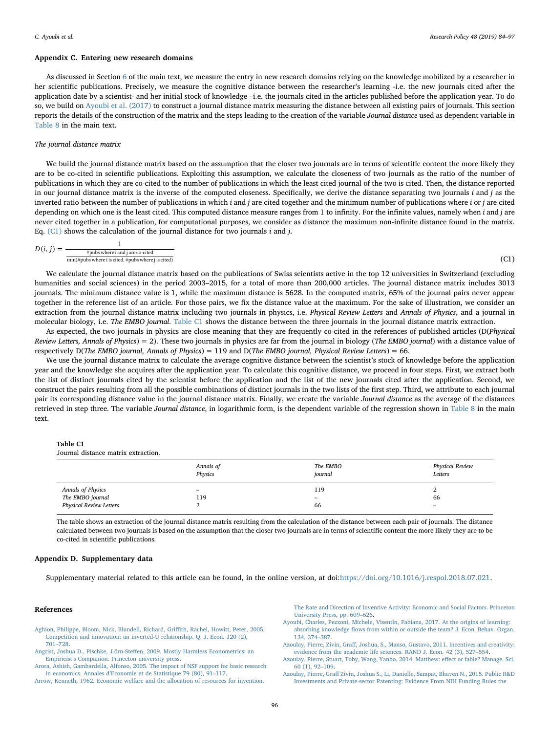#### Appendix C. Entering new research domains

As discussed in Section [6](#page-8-0) of the main text, we measure the entry in new research domains relying on the knowledge mobilized by a researcher in her scientific publications. Precisely, we measure the cognitive distance between the researcher's learning -i.e. the new journals cited after the application date by a scientist- and her initial stock of knowledge –i.e. the journals cited in the articles published before the application year. To do so, we build on [Ayoubi et al. \(2017\)](#page-13-5) to construct a journal distance matrix measuring the distance between all existing pairs of journals. This section reports the details of the construction of the matrix and the steps leading to the creation of the variable Journal distance used as dependent variable in [Table 8](#page-10-1) in the main text.

### The journal distance matrix

We build the journal distance matrix based on the assumption that the closer two journals are in terms of scientific content the more likely they are to be co-cited in scientific publications. Exploiting this assumption, we calculate the closeness of two journals as the ratio of the number of publications in which they are co-cited to the number of publications in which the least cited journal of the two is cited. Then, the distance reported in our journal distance matrix is the inverse of the computed closeness. Specifically, we derive the distance separating two journals i and j as the inverted ratio between the number of publications in which  $i$  and  $j$  are cited together and the minimum number of publications where  $i$  or  $j$  are cited depending on which one is the least cited. This computed distance measure ranges from 1 to infinity. For the infinite values, namely when i and j are never cited together in a publication, for computational purposes, we consider as distance the maximum non-infinite distance found in the matrix. Eq.  $(C1)$  shows the calculation of the journal distance for two journals *i* and *j*.

<span id="page-13-8"></span>
$$
D(i, j) = \frac{1}{\frac{\text{#pubs where i and j are co-cited}}{\text{min}(\text{#pubs where i is cited, #pubs where j is cited})}}
$$
(C1)

We calculate the journal distance matrix based on the publications of Swiss scientists active in the top 12 universities in Switzerland (excluding humanities and social sciences) in the period 2003–2015, for a total of more than 200,000 articles. The journal distance matrix includes 3013 journals. The minimum distance value is 1, while the maximum distance is 5628. In the computed matrix, 65% of the journal pairs never appear together in the reference list of an article. For those pairs, we fix the distance value at the maximum. For the sake of illustration, we consider an extraction from the journal distance matrix including two journals in physics, i.e. Physical Review Letters and Annals of Physics, and a journal in molecular biology, i.e. The EMBO journal. [Table C1](#page-13-9) shows the distance between the three journals in the journal distance matrix extraction.

As expected, the two journals in physics are close meaning that they are frequently co-cited in the references of published articles (D(Physical Review Letters, Annals of Physics) = 2). These two journals in physics are far from the journal in biology (The EMBO journal) with a distance value of respectively D(The EMBO journal, Annals of Physics) = 119 and D(The EMBO journal, Physical Review Letters) = 66.

We use the journal distance matrix to calculate the average cognitive distance between the scientist's stock of knowledge before the application year and the knowledge she acquires after the application year. To calculate this cognitive distance, we proceed in four steps. First, we extract both the list of distinct journals cited by the scientist before the application and the list of the new journals cited after the application. Second, we construct the pairs resulting from all the possible combinations of distinct journals in the two lists of the first step. Third, we attribute to each journal pair its corresponding distance value in the journal distance matrix. Finally, we create the variable Journal distance as the average of the distances retrieved in step three. The variable Journal distance, in logarithmic form, is the dependent variable of the regression shown in [Table 8](#page-10-1) in the main text.

#### <span id="page-13-9"></span>Table C1

Journal distance matrix extraction.

|                         | Annals of<br>Physics     | The EMBO<br>journal      | Physical Review<br>Letters |
|-------------------------|--------------------------|--------------------------|----------------------------|
| Annals of Physics       | $\overline{\phantom{0}}$ | 119                      | ▵                          |
| The EMBO journal        | 119                      | $\overline{\phantom{a}}$ | -66                        |
| Physical Review Letters | ∠                        | 66                       | $\overline{\phantom{a}}$   |

The table shows an extraction of the journal distance matrix resulting from the calculation of the distance between each pair of journals. The distance calculated between two journals is based on the assumption that the closer two journals are in terms of scientific content the more likely they are to be co-cited in scientific publications.

#### Appendix D. Supplementary data

Supplementary material related to this article can be found, in the online version, at doi[:https://doi.org/10.1016/j.respol.2018.07.021.](https://doi.org/10.1016/j.respol.2018.07.021)

#### References

- <span id="page-13-1"></span>[Aghion, Philippe, Bloom, Nick, Blundell, Richard, Gri](http://refhub.elsevier.com/S0048-7333(18)30186-0/sbref0005)ffith, Rachel, Howitt, Peter, 2005. [Competition and innovation: an inverted-U relationship. Q. J. Econ. 120 \(2\),](http://refhub.elsevier.com/S0048-7333(18)30186-0/sbref0005) 701–[728](http://refhub.elsevier.com/S0048-7333(18)30186-0/sbref0005).
- <span id="page-13-6"></span>Angrist, Joshua D., Pischke, J.örn-Steff[en, 2009. Mostly Harmless Econometrics: an](http://refhub.elsevier.com/S0048-7333(18)30186-0/sbref0010) Empiricist'[s Companion. Princeton university press](http://refhub.elsevier.com/S0048-7333(18)30186-0/sbref0010).
- <span id="page-13-3"></span>[Arora, Ashish, Gambardella, Alfonso, 2005. The impact of NSF support for basic research](http://refhub.elsevier.com/S0048-7333(18)30186-0/sbref0015) in economics. Annales d'[Economie et de Statistique 79 \(80\), 91](http://refhub.elsevier.com/S0048-7333(18)30186-0/sbref0015)–117.

<span id="page-13-0"></span>[Arrow, Kenneth, 1962. Economic welfare and the allocation of resources for invention.](http://refhub.elsevier.com/S0048-7333(18)30186-0/sbref0020)

[The Rate and Direction of Inventive Activity: Economic and Social Factors. Princeton](http://refhub.elsevier.com/S0048-7333(18)30186-0/sbref0020) [University Press, pp. 609](http://refhub.elsevier.com/S0048-7333(18)30186-0/sbref0020)–626.

- <span id="page-13-5"></span>[Ayoubi, Charles, Pezzoni, Michele, Visentin, Fabiana, 2017. At the origins of learning:](http://refhub.elsevier.com/S0048-7333(18)30186-0/sbref0025) absorbing knowledge fl[ows from within or outside the team? J. Econ. Behav. Organ.](http://refhub.elsevier.com/S0048-7333(18)30186-0/sbref0025) [134, 374](http://refhub.elsevier.com/S0048-7333(18)30186-0/sbref0025)–387.
- <span id="page-13-2"></span>Azoulay, Pierre, Zivin, Graff[, Joshua, S., Manso, Gustavo, 2011. Incentives and creativity:](http://refhub.elsevier.com/S0048-7333(18)30186-0/sbref0030) [evidence from the academic life sciences. RAND J. Econ. 42 \(3\), 527](http://refhub.elsevier.com/S0048-7333(18)30186-0/sbref0030)–554.
- <span id="page-13-7"></span>[Azoulay, Pierre, Stuart, Toby, Wang, Yanbo, 2014. Matthew: e](http://refhub.elsevier.com/S0048-7333(18)30186-0/sbref0035)ffect or fable? Manage. Sci. [60 \(1\), 92](http://refhub.elsevier.com/S0048-7333(18)30186-0/sbref0035)–109.
- <span id="page-13-4"></span>Azoulay, Pierre, Graff [Zivin, Joshua S., Li, Danielle, Sampat, Bhaven N., 2015. Public R&D](http://refhub.elsevier.com/S0048-7333(18)30186-0/sbref0040) [Investments and Private-sector Patenting: Evidence From NIH Funding Rules the](http://refhub.elsevier.com/S0048-7333(18)30186-0/sbref0040)